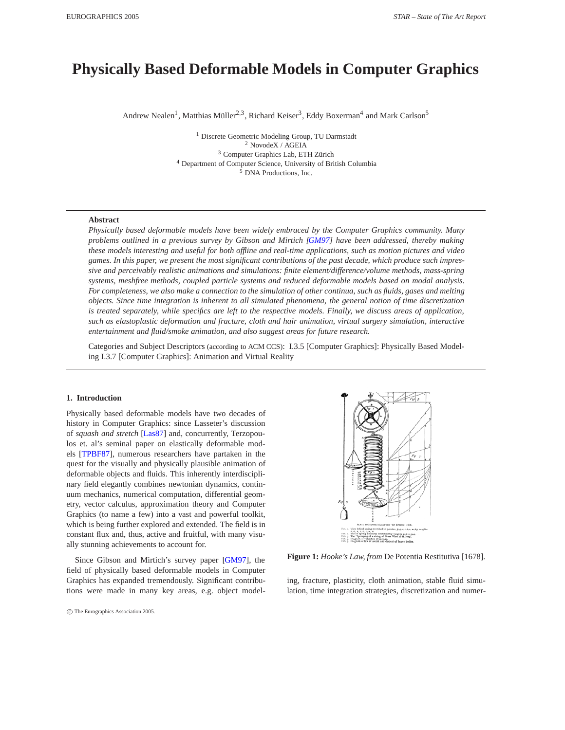# <span id="page-0-1"></span>**Physically Based Deformable Models in Computer Graphics**

Andrew Nealen<sup>1</sup>, Matthias Müller<sup>2,3</sup>, Richard Keiser<sup>3</sup>, Eddy Boxerman<sup>4</sup> and Mark Carlson<sup>5</sup>

<sup>1</sup> Discrete Geometric Modeling Group, TU Darmstadt NovodeX / AGEIA Computer Graphics Lab, ETH Zürich Department of Computer Science, University of British Columbia DNA Productions, Inc.

## **Abstract**

*Physically based deformable models have been widely embraced by the Computer Graphics community. Many problems outlined in a previous survey by Gibson and Mirtich [\[GM97\]](#page-21-0) have been addressed, thereby making these models interesting and useful for both offline and real-time applications, such as motion pictures and video games. In this paper, we present the most significant contributions of the past decade, which produce such impressive and perceivably realistic animations and simulations: finite element/difference/volume methods, mass-spring systems, meshfree methods, coupled particle systems and reduced deformable models based on modal analysis. For completeness, we also make a connection to the simulation of other continua, such as fluids, gases and melting objects. Since time integration is inherent to all simulated phenomena, the general notion of time discretization is treated separately, while specifics are left to the respective models. Finally, we discuss areas of application, such as elastoplastic deformation and fracture, cloth and hair animation, virtual surgery simulation, interactive entertainment and fluid/smoke animation, and also suggest areas for future research.*

Categories and Subject Descriptors (according to ACM CCS): I.3.5 [Computer Graphics]: Physically Based Modeling I.3.7 [Computer Graphics]: Animation and Virtual Reality

#### **1. Introduction**

Physically based deformable models have two decades of history in Computer Graphics: since Lasseter's discussion of *squash and stretch* [\[Las87\]](#page-22-0) and, concurrently, Terzopoulos et. al's seminal paper on elastically deformable models [\[TPBF87\]](#page-23-0), numerous researchers have partaken in the quest for the visually and physically plausible animation of deformable objects and fluids. This inherently interdisciplinary field elegantly combines newtonian dynamics, continuum mechanics, numerical computation, differential geometry, vector calculus, approximation theory and Computer Graphics (to name a few) into a vast and powerful toolkit, which is being further explored and extended. The field is in constant flux and, thus, active and fruitful, with many visually stunning achievements to account for.

Since Gibson and Mirtich's survey paper [\[GM97\]](#page-21-0), the field of physically based deformable models in Computer Graphics has expanded tremendously. Significant contributions were made in many key areas, e.g. object model-

<span id="page-0-0"></span>**Figure 1:** *Hooke's Law, from* De Potentia Restitutiva [1678]*.*

ing, fracture, plasticity, cloth animation, stable fluid simulation, time integration strategies, discretization and numer-

ed by weights put in pa<br>vass Wire 36 ft. long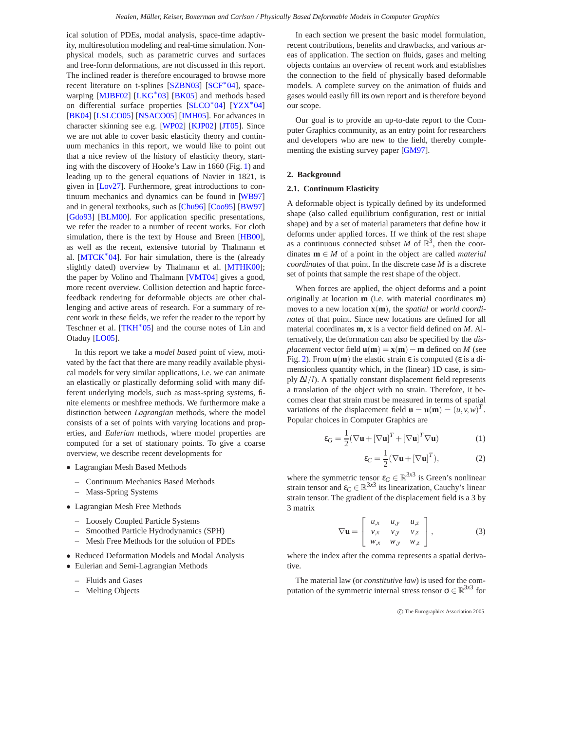<span id="page-1-3"></span>ical solution of PDEs, modal analysis, space-time adaptivity, multiresolution modeling and real-time simulation. Nonphysical models, such as parametric curves and surfaces and free-form deformations, are not discussed in this report. The inclined reader is therefore encouraged to browse more recent literature on t-splines [\[SZBN03\]](#page-23-1) [\[SCF](#page-23-2)∗04], space-warping [\[MJBF02\]](#page-22-1) [\[LKG](#page-22-2)<sup>\*</sup>03] [\[BK05\]](#page-20-0) and methods based on differential surface properties [\[SLCO](#page-23-3)∗04] [\[YZX](#page-23-4)∗04] [\[BK04\]](#page-20-1) [\[LSLCO05\]](#page-22-3) [\[NSACO05\]](#page-22-4) [\[IMH05\]](#page-21-1). For advances in character skinning see e.g. [\[WP02\]](#page-23-5) [\[KJP02\]](#page-22-5) [\[JT05\]](#page-22-6). Since we are not able to cover basic elasticity theory and continuum mechanics in this report, we would like to point out that a nice review of the history of elasticity theory, starting with the discovery of Hooke's Law in 1660 (Fig. [1\)](#page-0-0) and leading up to the general equations of Navier in 1821, is given in [\[Lov27\]](#page-22-7). Furthermore, great introductions to continuum mechanics and dynamics can be found in [\[WB97\]](#page-23-6) and in general textbooks, such as [\[Chu96\]](#page-21-2) [\[Coo95\]](#page-21-3) [\[BW97\]](#page-20-2) [\[Gdo93\]](#page-21-4) [\[BLM00\]](#page-20-3). For application specific presentations, we refer the reader to a number of recent works. For cloth simulation, there is the text by House and Breen [\[HB00\]](#page-21-5), as well as the recent, extensive tutorial by Thalmann et al. [\[MTCK](#page-22-8)<sup>\*</sup>04]. For hair simulation, there is the (already slightly dated) overview by Thalmann et al. [\[MTHK00\]](#page-22-9); the paper by Volino and Thalmann [\[VMT04\]](#page-23-7) gives a good, more recent overview. Collision detection and haptic forcefeedback rendering for deformable objects are other challenging and active areas of research. For a summary of recent work in these fields, we refer the reader to the report by Teschner et al.  $[TKH^*05]$  $[TKH^*05]$  and the course notes of Lin and Otaduy [\[LO05\]](#page-22-10).

In this report we take a *model based* point of view, motivated by the fact that there are many readily available physical models for very similar applications, i.e. we can animate an elastically or plastically deforming solid with many different underlying models, such as mass-spring systems, finite elements or meshfree methods. We furthermore make a distinction between *Lagrangian* methods, where the model consists of a set of points with varying locations and properties, and *Eulerian* methods, where model properties are computed for a set of stationary points. To give a coarse overview, we describe recent developments for

- Lagrangian Mesh Based Methods
	- Continuum Mechanics Based Methods
	- Mass-Spring Systems
- Lagrangian Mesh Free Methods
	- Loosely Coupled Particle Systems
	- Smoothed Particle Hydrodynamics (SPH)
	- Mesh Free Methods for the solution of PDEs
- Reduced Deformation Models and Modal Analysis
- Eulerian and Semi-Lagrangian Methods
	- Fluids and Gases
	- Melting Objects

In each section we present the basic model formulation, recent contributions, benefits and drawbacks, and various areas of application. The section on fluids, gases and melting objects contains an overview of recent work and establishes the connection to the field of physically based deformable models. A complete survey on the animation of fluids and gases would easily fill its own report and is therefore beyond our scope.

Our goal is to provide an up-to-date report to the Computer Graphics community, as an entry point for researchers and developers who are new to the field, thereby complementing the existing survey paper [\[GM97\]](#page-21-0).

## <span id="page-1-2"></span><span id="page-1-0"></span>**2. Background**

## **2.1. Continuum Elasticity**

A deformable object is typically defined by its undeformed shape (also called equilibrium configuration, rest or initial shape) and by a set of material parameters that define how it deforms under applied forces. If we think of the rest shape as a continuous connected subset *M* of  $\mathbb{R}^3$ , then the coordinates **m** ∈ *M* of a point in the object are called *material coordinates* of that point. In the discrete case *M* is a discrete set of points that sample the rest shape of the object.

When forces are applied, the object deforms and a point originally at location **m** (i.e. with material coordinates **m**) moves to a new location **x**(**m**), the *spatial* or *world coordinates* of that point. Since new locations are defined for all material coordinates **m**, **x** is a vector field defined on *M*. Alternatively, the deformation can also be specified by the *displacement* vector field  $\mathbf{u}(\mathbf{m}) = \mathbf{x}(\mathbf{m}) - \mathbf{m}$  defined on *M* (see Fig. [2\)](#page-3-0). From  $\mathbf{u}(\mathbf{m})$  the elastic strain  $\varepsilon$  is computed ( $\varepsilon$  is a dimensionless quantity which, in the (linear) 1D case, is simply ∆*l/l*). A spatially constant displacement field represents a translation of the object with no strain. Therefore, it becomes clear that strain must be measured in terms of spatial variations of the displacement field  $\mathbf{u} = \mathbf{u}(\mathbf{m}) = (u, v, w)^T$ . Popular choices in Computer Graphics are

$$
\varepsilon_G = \frac{1}{2} (\nabla \mathbf{u} + [\nabla \mathbf{u}]^T + [\nabla \mathbf{u}]^T \nabla \mathbf{u})
$$
 (1)

$$
\varepsilon_C = \frac{1}{2} (\nabla \mathbf{u} + [\nabla \mathbf{u}]^T),\tag{2}
$$

<span id="page-1-1"></span>where the symmetric tensor  $\varepsilon_G \in \mathbb{R}^{3x3}$  is Green's nonlinear strain tensor and  $\varepsilon_C \in \mathbb{R}^{3 \times 3}$  its linearization, Cauchy's linear strain tensor. The gradient of the displacement field is a 3 by 3 matrix

$$
\nabla \mathbf{u} = \begin{bmatrix} u_{,x} & u_{,y} & u_{,z} \\ v_{,x} & v_{,y} & v_{,z} \\ w_{,x} & w_{,y} & w_{,z} \end{bmatrix}, \tag{3}
$$

where the index after the comma represents a spatial derivative.

The material law (or *constitutive law*) is used for the computation of the symmetric internal stress tensor  $\sigma \in \mathbb{R}^{3 \times 3}$  for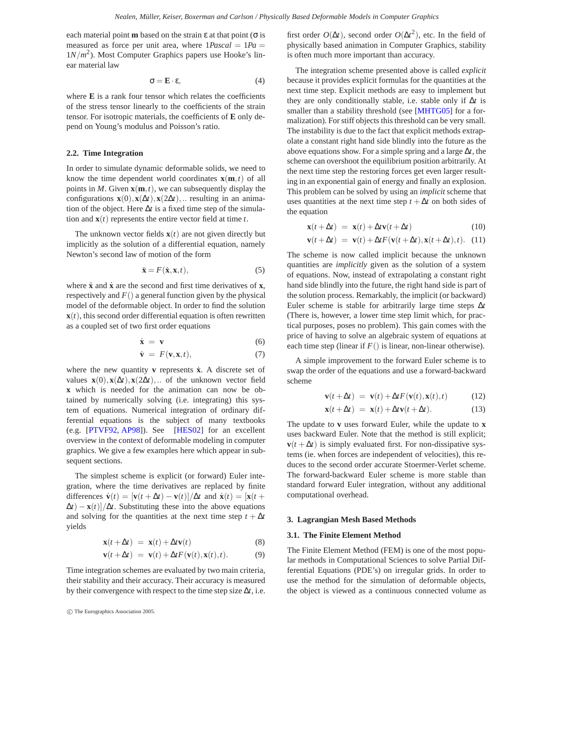<span id="page-2-4"></span>each material point **m** based on the strain ε at that point (σ is measured as force per unit area, where  $1Pascal = 1Pa =$  $1N/m<sup>2</sup>$ ). Most Computer Graphics papers use Hooke's linear material law

$$
\sigma = \mathbf{E} \cdot \mathbf{\varepsilon},\tag{4}
$$

<span id="page-2-2"></span>where **E** is a rank four tensor which relates the coefficients of the stress tensor linearly to the coefficients of the strain tensor. For isotropic materials, the coefficients of **E** only depend on Young's modulus and Poisson's ratio.

## <span id="page-2-0"></span>**2.2. Time Integration**

In order to simulate dynamic deformable solids, we need to know the time dependent world coordinates  $\mathbf{x}(\mathbf{m},t)$  of all points in *M*. Given  $\mathbf{x}(\mathbf{m},t)$ , we can subsequently display the configurations  $\mathbf{x}(0), \mathbf{x}(\Delta t), \mathbf{x}(2\Delta t), \dots$  resulting in an animation of the object. Here ∆*t* is a fixed time step of the simulation and  $\mathbf{x}(t)$  represents the entire vector field at time  $t$ .

The unknown vector fields  $\mathbf{x}(t)$  are not given directly but implicitly as the solution of a differential equation, namely Newton's second law of motion of the form

$$
\ddot{\mathbf{x}} = F(\dot{\mathbf{x}}, \mathbf{x}, t),\tag{5}
$$

where  $\ddot{x}$  and  $\dot{x}$  are the second and first time derivatives of **x**, respectively and  $F()$  a general function given by the physical model of the deformable object. In order to find the solution **, this second order differential equation is often rewritten** as a coupled set of two first order equations

$$
\dot{\mathbf{x}} = \mathbf{v} \tag{6}
$$

$$
\dot{\mathbf{v}} = F(\mathbf{v}, \mathbf{x}, t), \tag{7}
$$

where the new quantity **v** represents  $\dot{x}$ . A discrete set of values  $\mathbf{x}(0), \mathbf{x}(\Delta t), \mathbf{x}(2\Delta t), \dots$  of the unknown vector field **x** which is needed for the animation can now be obtained by numerically solving (i.e. integrating) this system of equations. Numerical integration of ordinary differential equations is the subject of many textbooks (e.g. [\[PTVF92,](#page-23-9) [AP98\]](#page-20-4)). See [\[HES02\]](#page-21-6) for an excellent overview in the context of deformable modeling in computer graphics. We give a few examples here which appear in subsequent sections.

The simplest scheme is explicit (or forward) Euler integration, where the time derivatives are replaced by finite differences  $\dot{\mathbf{v}}(t)=[\mathbf{v}(t+\Delta t)-\mathbf{v}(t)]/\Delta t$  and  $\dot{\mathbf{x}}(t)=[\mathbf{x}(t+\Delta t)-\mathbf{v}(t)]/\Delta t$  $\Delta t$ ) – **x**(*t*)]/ $\Delta t$ . Substituting these into the above equations and solving for the quantities at the next time step  $t + \Delta t$ yields

$$
\mathbf{x}(t + \Delta t) = \mathbf{x}(t) + \Delta t \mathbf{v}(t)
$$
\n(8)

$$
\mathbf{v}(t + \Delta t) = \mathbf{v}(t) + \Delta t F(\mathbf{v}(t), \mathbf{x}(t), t).
$$
 (9)

Time integration schemes are evaluated by two main criteria, their stability and their accuracy. Their accuracy is measured by their convergence with respect to the time step size ∆*t*, i.e.

first order  $O(\Delta t)$ , second order  $O(\Delta t^2)$ , etc. In the field of physically based animation in Computer Graphics, stability is often much more important than accuracy.

The integration scheme presented above is called *explicit* because it provides explicit formulas for the quantities at the next time step. Explicit methods are easy to implement but they are only conditionally stable, i.e. stable only if ∆*t* is smaller than a stability threshold (see [\[MHTG05\]](#page-22-11) for a formalization). For stiff objects this threshold can be very small. The instability is due to the fact that explicit methods extrapolate a constant right hand side blindly into the future as the above equations show. For a simple spring and a large ∆*t*, the scheme can overshoot the equilibrium position arbitrarily. At the next time step the restoring forces get even larger resulting in an exponential gain of energy and finally an explosion. This problem can be solved by using an *implicit* scheme that uses quantities at the next time step  $t + \Delta t$  on both sides of the equation

$$
\mathbf{x}(t + \Delta t) = \mathbf{x}(t) + \Delta t \mathbf{v}(t + \Delta t)
$$
 (10)

$$
\mathbf{v}(t + \Delta t) = \mathbf{v}(t) + \Delta t F(\mathbf{v}(t + \Delta t), \mathbf{x}(t + \Delta t), t). \tag{11}
$$

The scheme is now called implicit because the unknown quantities are *implicitly* given as the solution of a system of equations. Now, instead of extrapolating a constant right hand side blindly into the future, the right hand side is part of the solution process. Remarkably, the implicit (or backward) Euler scheme is stable for arbitrarily large time steps ∆*t* (There is, however, a lower time step limit which, for practical purposes, poses no problem). This gain comes with the price of having to solve an algebraic system of equations at each time step (linear if  $F()$  is linear, non-linear otherwise).

A simple improvement to the forward Euler scheme is to swap the order of the equations and use a forward-backward scheme

$$
\mathbf{v}(t + \Delta t) = \mathbf{v}(t) + \Delta t F(\mathbf{v}(t), \mathbf{x}(t), t)
$$
(12)

$$
\mathbf{x}(t + \Delta t) = \mathbf{x}(t) + \Delta t \mathbf{v}(t + \Delta t). \tag{13}
$$

The update to **v** uses forward Euler, while the update to **x** uses backward Euler. Note that the method is still explicit;  $\mathbf{v}(t + \Delta t)$  is simply evaluated first. For non-dissipative systems (ie. when forces are independent of velocities), this reduces to the second order accurate Stoermer-Verlet scheme. The forward-backward Euler scheme is more stable than standard forward Euler integration, without any additional computational overhead.

#### <span id="page-2-3"></span><span id="page-2-1"></span>**3. Lagrangian Mesh Based Methods**

#### **3.1. The Finite Element Method**

The Finite Element Method (FEM) is one of the most popular methods in Computational Sciences to solve Partial Differential Equations (PDE's) on irregular grids. In order to use the method for the simulation of deformable objects, the object is viewed as a continuous connected volume as

c The Eurographics Association 2005.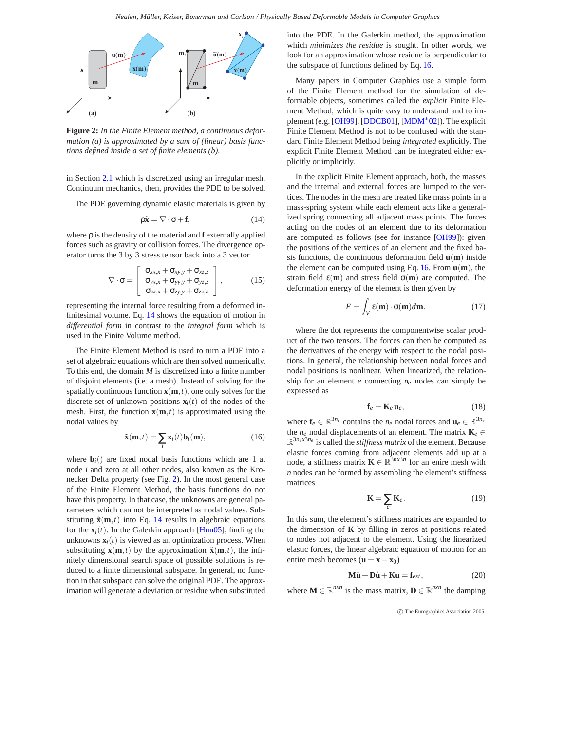<span id="page-3-6"></span>

<span id="page-3-0"></span>**Figure 2:** *In the Finite Element method, a continuous deformation (a) is approximated by a sum of (linear) basis functions defined inside a set of finite elements (b).*

in Section [2.1](#page-1-0) which is discretized using an irregular mesh. Continuum mechanics, then, provides the PDE to be solved.

<span id="page-3-1"></span>The PDE governing dynamic elastic materials is given by

$$
\rho \ddot{\mathbf{x}} = \nabla \cdot \sigma + \mathbf{f},\tag{14}
$$

where ρ is the density of the material and **f** externally applied forces such as gravity or collision forces. The divergence operator turns the 3 by 3 stress tensor back into a 3 vector

$$
\nabla \cdot \sigma = \begin{bmatrix} \sigma_{xx,x} + \sigma_{xy,y} + \sigma_{xz,z} \\ \sigma_{yx,x} + \sigma_{yy,y} + \sigma_{yz,z} \\ \sigma_{zx,x} + \sigma_{zy,y} + \sigma_{zz,z} \end{bmatrix},
$$
(15)

representing the internal force resulting from a deformed infinitesimal volume. Eq. [14](#page-3-1) shows the equation of motion in *differential form* in contrast to the *integral form* which is used in the Finite Volume method.

The Finite Element Method is used to turn a PDE into a set of algebraic equations which are then solved numerically. To this end, the domain *M* is discretized into a finite number of disjoint elements (i.e. a mesh). Instead of solving for the spatially continuous function  $\mathbf{x}(\mathbf{m},t)$ , one only solves for the discrete set of unknown positions  $\mathbf{x}_i(t)$  of the nodes of the mesh. First, the function  $\mathbf{x}(\mathbf{m},t)$  is approximated using the nodal values by

$$
\tilde{\mathbf{x}}(\mathbf{m},t) = \sum_{i} \mathbf{x}_i(t) \mathbf{b}_i(\mathbf{m}),
$$
\n(16)

<span id="page-3-2"></span>where  $\mathbf{b}_i$ () are fixed nodal basis functions which are 1 at node *i* and zero at all other nodes, also known as the Kronecker Delta property (see Fig. [2\)](#page-3-0). In the most general case of the Finite Element Method, the basis functions do not have this property. In that case, the unknowns are general parameters which can not be interpreted as nodal values. Substituting  $\tilde{\mathbf{x}}(\mathbf{m},t)$  into Eq. [14](#page-3-1) results in algebraic equations for the  $\mathbf{x}_i(t)$ . In the Galerkin approach [\[Hun05\]](#page-21-7), finding the unknowns  $\mathbf{x}_i(t)$  is viewed as an optimization process. When substituting  $\mathbf{x}(\mathbf{m},t)$  by the approximation  $\tilde{\mathbf{x}}(\mathbf{m},t)$ , the infinitely dimensional search space of possible solutions is reduced to a finite dimensional subspace. In general, no function in that subspace can solve the original PDE. The approximation will generate a deviation or residue when substituted into the PDE. In the Galerkin method, the approximation which *minimizes the residue* is sought. In other words, we look for an approximation whose residue is perpendicular to the subspace of functions defined by Eq. [16.](#page-3-2)

Many papers in Computer Graphics use a simple form of the Finite Element method for the simulation of deformable objects, sometimes called the *explicit* Finite Element Method, which is quite easy to understand and to im-plement (e.g. [\[OH99\]](#page-22-12), [\[DDCB01\]](#page-21-8), [\[MDM](#page-22-13)<sup>∗</sup>02]). The explicit Finite Element Method is not to be confused with the standard Finite Element Method being *integrated* explicitly. The explicit Finite Element Method can be integrated either explicitly or implicitly.

In the explicit Finite Element approach, both, the masses and the internal and external forces are lumped to the vertices. The nodes in the mesh are treated like mass points in a mass-spring system while each element acts like a generalized spring connecting all adjacent mass points. The forces acting on the nodes of an element due to its deformation are computed as follows (see for instance [\[OH99\]](#page-22-12)): given the positions of the vertices of an element and the fixed basis functions, the continuous deformation field **u**(**m**) inside the element can be computed using Eq. [16.](#page-3-2) From **u**(**m**), the strain field  $\varepsilon(\mathbf{m})$  and stress field  $\sigma(\mathbf{m})$  are computed. The deformation energy of the element is then given by

$$
E = \int_{V} \varepsilon(\mathbf{m}) \cdot \sigma(\mathbf{m}) d\mathbf{m},\tag{17}
$$

<span id="page-3-4"></span>where the dot represents the componentwise scalar product of the two tensors. The forces can then be computed as the derivatives of the energy with respect to the nodal positions. In general, the relationship between nodal forces and nodal positions is nonlinear. When linearized, the relationship for an element *e* connecting *ne* nodes can simply be expressed as

$$
\mathbf{f}_e = \mathbf{K}_e \, \mathbf{u}_e,\tag{18}
$$

<span id="page-3-3"></span>where  $\mathbf{f}_e \in \mathbb{R}^{3n_e}$  contains the  $n_e$  nodal forces and  $\mathbf{u}_e \in \mathbb{R}^{3n_e}$ the  $n_e$  nodal displacements of an element. The matrix  $\mathbf{K}_e \in$ R3*nex*3*ne* is called the *stiffness matrix* of the element. Because elastic forces coming from adjacent elements add up at a node, a stiffness matrix  $\mathbf{K} \in \mathbb{R}^{3nx3n}$  for an enire mesh with *n* nodes can be formed by assembling the element's stiffness matrices

$$
\mathbf{K} = \sum_{e} \mathbf{K}_{e}.
$$
 (19)

In this sum, the element's stiffness matrices are expanded to the dimension of **K** by filling in zeros at positions related to nodes not adjacent to the element. Using the linearized elastic forces, the linear algebraic equation of motion for an entire mesh becomes ( $\mathbf{u} = \mathbf{x} - \mathbf{x}_0$ )

$$
M\ddot{u} + D\dot{u} + Ku = f_{ext}, \qquad (20)
$$

<span id="page-3-5"></span>where  $M \in \mathbb{R}^{n \times n}$  is the mass matrix,  $D \in \mathbb{R}^{n \times n}$  the damping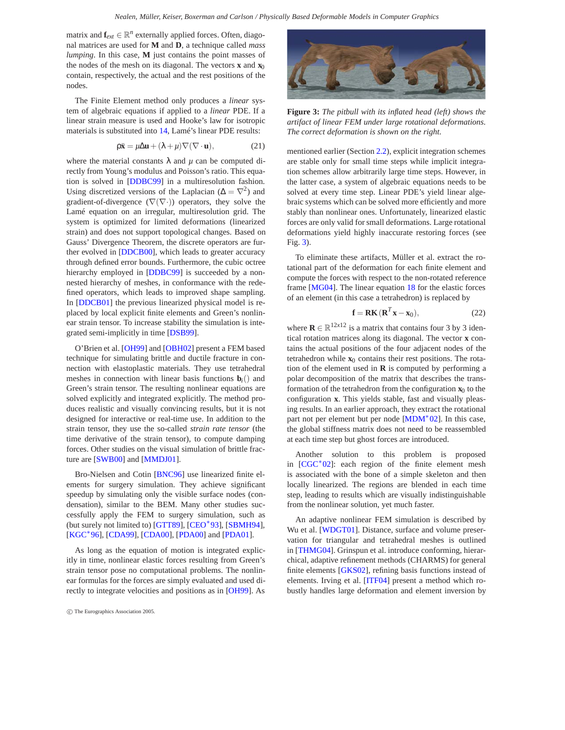<span id="page-4-1"></span>matrix and  $\mathbf{f}_{ext} \in \mathbb{R}^n$  externally applied forces. Often, diagonal matrices are used for **M** and **D**, a technique called *mass lumping*. In this case, **M** just contains the point masses of the nodes of the mesh on its diagonal. The vectors **x** and **x**<sup>0</sup> contain, respectively, the actual and the rest positions of the nodes.

The Finite Element method only produces a *linear* system of algebraic equations if applied to a *linear* PDE. If a linear strain measure is used and Hooke's law for isotropic materials is substituted into [14,](#page-3-1) Lamé's linear PDE results:

$$
\rho \ddot{\mathbf{x}} = \mu \Delta \mathbf{u} + (\lambda + \mu) \nabla (\nabla \cdot \mathbf{u}),\tag{21}
$$

where the material constants  $\lambda$  and  $\mu$  can be computed directly from Young's modulus and Poisson's ratio. This equation is solved in [\[DDBC99\]](#page-21-9) in a multiresolution fashion. Using discretized versions of the Laplacian ( $\Delta = \nabla^2$ ) and gradient-of-divergence  $(\nabla(\nabla\cdot))$  operators, they solve the Lamé equation on an irregular, multiresolution grid. The system is optimized for limited deformations (linearized strain) and does not support topological changes. Based on Gauss' Divergence Theorem, the discrete operators are further evolved in [\[DDCB00\]](#page-21-10), which leads to greater accuracy through defined error bounds. Furthermore, the cubic octree hierarchy employed in [\[DDBC99\]](#page-21-9) is succeeded by a nonnested hierarchy of meshes, in conformance with the redefined operators, which leads to improved shape sampling. In [\[DDCB01\]](#page-21-8) the previous linearized physical model is replaced by local explicit finite elements and Green's nonlinear strain tensor. To increase stability the simulation is integrated semi-implicitly in time [\[DSB99\]](#page-21-11).

O'Brien et al. [\[OH99\]](#page-22-12) and [\[OBH02\]](#page-22-14) present a FEM based technique for simulating brittle and ductile fracture in connection with elastoplastic materials. They use tetrahedral meshes in connection with linear basis functions  $\mathbf{b}_i$ <sup>()</sup> and Green's strain tensor. The resulting nonlinear equations are solved explicitly and integrated explicitly. The method produces realistic and visually convincing results, but it is not designed for interactive or real-time use. In addition to the strain tensor, they use the so-called *strain rate tensor* (the time derivative of the strain tensor), to compute damping forces. Other studies on the visual simulation of brittle fracture are [\[SWB00\]](#page-23-10) and [\[MMDJ01\]](#page-22-15).

Bro-Nielsen and Cotin [\[BNC96\]](#page-20-5) use linearized finite elements for surgery simulation. They achieve significant speedup by simulating only the visible surface nodes (condensation), similar to the BEM. Many other studies successfully apply the FEM to surgery simulation, such as (but surely not limited to) [\[GTT89\]](#page-21-12), [\[CEO](#page-20-6)∗93], [\[SBMH94\]](#page-23-11), [\[KGC](#page-22-16)<sup>\*</sup>96], [\[CDA99\]](#page-20-7), [\[CDA00\]](#page-20-8), [\[PDA00\]](#page-22-17) and [\[PDA01\]](#page-22-18).

As long as the equation of motion is integrated explicitly in time, nonlinear elastic forces resulting from Green's strain tensor pose no computational problems. The nonlinear formulas for the forces are simply evaluated and used directly to integrate velocities and positions as in [\[OH99\]](#page-22-12). As



**Figure 3:** *The pitbull with its inflated head (left) shows the artifact of linear FEM under large rotational deformations. The correct deformation is shown on the right.*

<span id="page-4-0"></span>mentioned earlier (Section [2.2\)](#page-2-0), explicit integration schemes are stable only for small time steps while implicit integration schemes allow arbitrarily large time steps. However, in the latter case, a system of algebraic equations needs to be solved at every time step. Linear PDE's yield linear algebraic systems which can be solved more efficiently and more stably than nonlinear ones. Unfortunately, linearized elastic forces are only valid for small deformations. Large rotational deformations yield highly inaccurate restoring forces (see Fig. [3\)](#page-4-0).

To eliminate these artifacts, Müller et al. extract the rotational part of the deformation for each finite element and compute the forces with respect to the non-rotated reference frame [\[MG04\]](#page-22-19). The linear equation [18](#page-3-3) for the elastic forces of an element (in this case a tetrahedron) is replaced by

$$
\mathbf{f} = \mathbf{R}\mathbf{K} \, (\mathbf{R}^T \mathbf{x} - \mathbf{x}_0),\tag{22}
$$

where  $\mathbf{R} \in \mathbb{R}^{12x12}$  is a matrix that contains four 3 by 3 identical rotation matrices along its diagonal. The vector **x** contains the actual positions of the four adjacent nodes of the tetrahedron while  $\mathbf{x}_0$  contains their rest positions. The rotation of the element used in **R** is computed by performing a polar decomposition of the matrix that describes the transformation of the tetrahedron from the configuration  $\mathbf{x}_0$  to the configuration **x**. This yields stable, fast and visually pleasing results. In an earlier approach, they extract the rotational part not per element but per node [\[MDM](#page-22-13)∗02]. In this case, the global stiffness matrix does not need to be reassembled at each time step but ghost forces are introduced.

Another solution to this problem is proposed in  $[CGC<sup>*</sup>02]$  $[CGC<sup>*</sup>02]$ : each region of the finite element mesh is associated with the bone of a simple skeleton and then locally linearized. The regions are blended in each time step, leading to results which are visually indistinguishable from the nonlinear solution, yet much faster.

An adaptive nonlinear FEM simulation is described by Wu et al. [\[WDGT01\]](#page-23-12). Distance, surface and volume preservation for triangular and tetrahedral meshes is outlined in [\[THMG04\]](#page-23-13). Grinspun et al. introduce conforming, hierarchical, adaptive refinement methods (CHARMS) for general finite elements [\[GKS02\]](#page-21-13), refining basis functions instead of elements. Irving et al. [\[ITF04\]](#page-21-14) present a method which robustly handles large deformation and element inversion by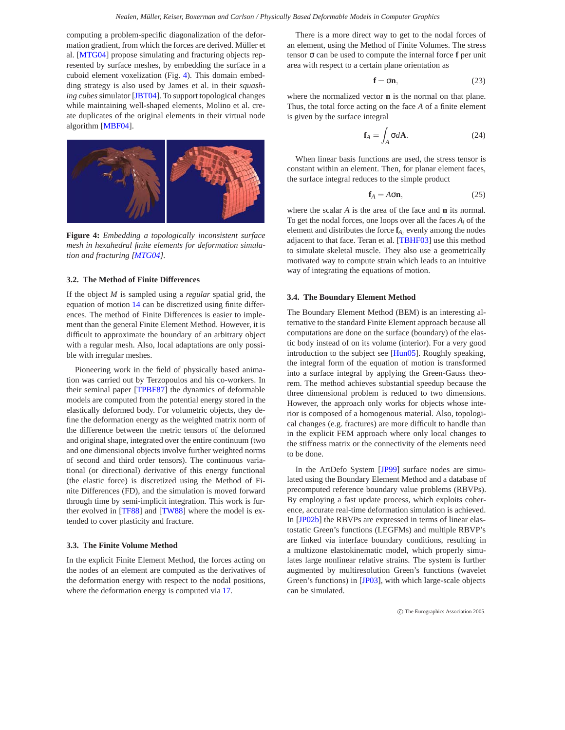<span id="page-5-1"></span>computing a problem-specific diagonalization of the deformation gradient, from which the forces are derived. Müller et al. [\[MTG04\]](#page-22-20) propose simulating and fracturing objects represented by surface meshes, by embedding the surface in a cuboid element voxelization (Fig. [4\)](#page-5-0). This domain embedding strategy is also used by James et al. in their *squashing cubes* simulator [\[JBT04\]](#page-21-15). To support topological changes while maintaining well-shaped elements, Molino et al. create duplicates of the original elements in their virtual node algorithm [\[MBF04\]](#page-22-21).



**Figure 4:** *Embedding a topologically inconsistent surface mesh in hexahedral finite elements for deformation simulation and fracturing [\[MTG04\]](#page-22-20).*

## <span id="page-5-0"></span>**3.2. The Method of Finite Differences**

If the object *M* is sampled using a *regular* spatial grid, the equation of motion [14](#page-3-1) can be discretized using finite differences. The method of Finite Differences is easier to implement than the general Finite Element Method. However, it is difficult to approximate the boundary of an arbitrary object with a regular mesh. Also, local adaptations are only possible with irregular meshes.

Pioneering work in the field of physically based animation was carried out by Terzopoulos and his co-workers. In their seminal paper [\[TPBF87\]](#page-23-0) the dynamics of deformable models are computed from the potential energy stored in the elastically deformed body. For volumetric objects, they define the deformation energy as the weighted matrix norm of the difference between the metric tensors of the deformed and original shape, integrated over the entire continuum (two and one dimensional objects involve further weighted norms of second and third order tensors). The continuous variational (or directional) derivative of this energy functional (the elastic force) is discretized using the Method of Finite Differences (FD), and the simulation is moved forward through time by semi-implicit integration. This work is further evolved in [\[TF88\]](#page-23-14) and [\[TW88\]](#page-23-15) where the model is extended to cover plasticity and fracture.

## **3.3. The Finite Volume Method**

In the explicit Finite Element Method, the forces acting on the nodes of an element are computed as the derivatives of the deformation energy with respect to the nodal positions, where the deformation energy is computed via [17.](#page-3-4)

There is a more direct way to get to the nodal forces of an element, using the Method of Finite Volumes. The stress tensor σ can be used to compute the internal force **f** per unit area with respect to a certain plane orientation as

$$
\mathbf{f} = \sigma \mathbf{n},\tag{23}
$$

where the normalized vector **n** is the normal on that plane. Thus, the total force acting on the face *A* of a finite element is given by the surface integral

$$
\mathbf{f}_A = \int_A \sigma d\mathbf{A}.\tag{24}
$$

When linear basis functions are used, the stress tensor is constant within an element. Then, for planar element faces, the surface integral reduces to the simple product

$$
\mathbf{f}_A = A \sigma \mathbf{n},\tag{25}
$$

where the scalar *A* is the area of the face and **n** its normal. To get the nodal forces, one loops over all the faces *Ai* of the element and distributes the force  $f_{A_i}$  evenly among the nodes adjacent to that face. Teran et al. [\[TBHF03\]](#page-23-16) use this method to simulate skeletal muscle. They also use a geometrically motivated way to compute strain which leads to an intuitive way of integrating the equations of motion.

#### **3.4. The Boundary Element Method**

The Boundary Element Method (BEM) is an interesting alternative to the standard Finite Element approach because all computations are done on the surface (boundary) of the elastic body instead of on its volume (interior). For a very good introduction to the subject see [\[Hun05\]](#page-21-7). Roughly speaking, the integral form of the equation of motion is transformed into a surface integral by applying the Green-Gauss theorem. The method achieves substantial speedup because the three dimensional problem is reduced to two dimensions. However, the approach only works for objects whose interior is composed of a homogenous material. Also, topological changes (e.g. fractures) are more difficult to handle than in the explicit FEM approach where only local changes to the stiffness matrix or the connectivity of the elements need to be done.

In the ArtDefo System [\[JP99\]](#page-21-16) surface nodes are simulated using the Boundary Element Method and a database of precomputed reference boundary value problems (RBVPs). By employing a fast update process, which exploits coherence, accurate real-time deformation simulation is achieved. In [\[JP02b\]](#page-21-17) the RBVPs are expressed in terms of linear elastostatic Green's functions (LEGFMs) and multiple RBVP's are linked via interface boundary conditions, resulting in a multizone elastokinematic model, which properly simulates large nonlinear relative strains. The system is further augmented by multiresolution Green's functions (wavelet Green's functions) in [\[JP03\]](#page-22-22), with which large-scale objects can be simulated.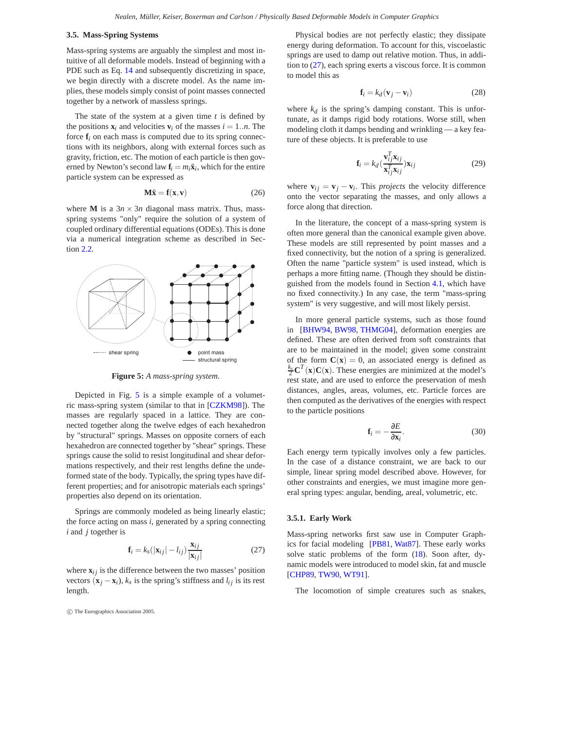## <span id="page-6-3"></span>**3.5. Mass-Spring Systems**

Mass-spring systems are arguably the simplest and most intuitive of all deformable models. Instead of beginning with a PDE such as Eq. [14](#page-3-1) and subsequently discretizing in space, we begin directly with a discrete model. As the name implies, these models simply consist of point masses connected together by a network of massless springs.

The state of the system at a given time *t* is defined by the positions  $\mathbf{x}_i$  and velocities  $\mathbf{v}_i$  of the masses  $i = 1..n$ . The force  $f_i$  on each mass is computed due to its spring connections with its neighbors, along with external forces such as gravity, friction, etc. The motion of each particle is then governed by Newton's second law  $\mathbf{f}_i = m_i \ddot{\mathbf{x}}_i$ , which for the entire particle system can be expressed as

$$
\mathbf{M}\ddot{\mathbf{x}} = \mathbf{f}(\mathbf{x}, \mathbf{v}) \tag{26}
$$

<span id="page-6-2"></span>where **M** is a  $3n \times 3n$  diagonal mass matrix. Thus, massspring systems "only" require the solution of a system of coupled ordinary differential equations (ODEs). This is done via a numerical integration scheme as described in Section [2.2.](#page-2-0)



**Figure 5:** *A mass-spring system.*

<span id="page-6-0"></span>Depicted in Fig. [5](#page-6-0) is a simple example of a volumetric mass-spring system (similar to that in [\[CZKM98\]](#page-21-18)). The masses are regularly spaced in a lattice. They are connected together along the twelve edges of each hexahedron by "structural" springs. Masses on opposite corners of each hexahedron are connected together by "shear" springs. These springs cause the solid to resist longitudinal and shear deformations respectively, and their rest lengths define the undeformed state of the body. Typically, the spring types have different properties; and for anisotropic materials each springs' properties also depend on its orientation.

Springs are commonly modeled as being linearly elastic; the force acting on mass *i*, generated by a spring connecting *i* and *j* together is

$$
\mathbf{f}_i = k_s (|\mathbf{x}_{ij}| - l_{ij}) \frac{\mathbf{x}_{ij}}{|\mathbf{x}_{ij}|}
$$
 (27)

<span id="page-6-1"></span>where  $\mathbf{x}_{ij}$  is the difference between the two masses' position vectors  $(\mathbf{x}_i - \mathbf{x}_i)$ ,  $k_s$  is the spring's stiffness and  $l_{ij}$  is its rest length.

Physical bodies are not perfectly elastic; they dissipate energy during deformation. To account for this, viscoelastic springs are used to damp out relative motion. Thus, in addition to [\(27\)](#page-6-1), each spring exerts a viscous force. It is common to model this as

$$
\mathbf{f}_i = k_d (\mathbf{v}_j - \mathbf{v}_i) \tag{28}
$$

where  $k_d$  is the spring's damping constant. This is unfortunate, as it damps rigid body rotations. Worse still, when modeling cloth it damps bending and wrinkling — a key feature of these objects. It is preferable to use

$$
\mathbf{f}_i = k_d \left( \frac{\mathbf{v}_{ij}^T \mathbf{x}_{ij}}{\mathbf{x}_{ij}^T \mathbf{x}_{ij}} \right) \mathbf{x}_{ij}
$$
 (29)

where  $\mathbf{v}_{ij} = \mathbf{v}_j - \mathbf{v}_i$ . This *projects* the velocity difference onto the vector separating the masses, and only allows a force along that direction.

In the literature, the concept of a mass-spring system is often more general than the canonical example given above. These models are still represented by point masses and a fixed connectivity, but the notion of a spring is generalized. Often the name "particle system" is used instead, which is perhaps a more fitting name. (Though they should be distinguished from the models found in Section [4.1,](#page-9-0) which have no fixed connectivity.) In any case, the term "mass-spring system" is very suggestive, and will most likely persist.

In more general particle systems, such as those found in [\[BHW94,](#page-20-10) [BW98,](#page-20-11) [THMG04\]](#page-23-13), deformation energies are defined. These are often derived from soft constraints that are to be maintained in the model; given some constraint of the form  $C(x) = 0$ , an associated energy is defined as  $\frac{k_s}{2} \mathbf{C}^T(\mathbf{x}) \mathbf{C}(\mathbf{x})$ . These energies are minimized at the model's rest state, and are used to enforce the preservation of mesh distances, angles, areas, volumes, etc. Particle forces are then computed as the derivatives of the energies with respect to the particle positions

$$
\mathbf{f}_i = -\frac{\partial E}{\partial \mathbf{x}_i}.\tag{30}
$$

Each energy term typically involves only a few particles. In the case of a distance constraint, we are back to our simple, linear spring model described above. However, for other constraints and energies, we must imagine more general spring types: angular, bending, areal, volumetric, etc.

## **3.5.1. Early Work**

Mass-spring networks first saw use in Computer Graphics for facial modeling [\[PB81,](#page-22-23) [Wat87\]](#page-23-17). These early works solve static problems of the form [\(18\)](#page-3-3). Soon after, dynamic models were introduced to model skin, fat and muscle [\[CHP89,](#page-21-19) [TW90,](#page-23-18) [WT91\]](#page-23-19).

The locomotion of simple creatures such as snakes,

c The Eurographics Association 2005.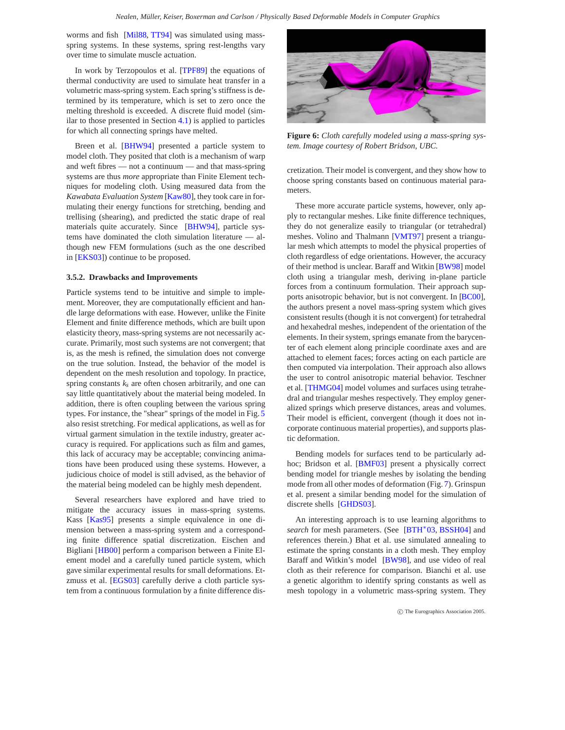<span id="page-7-0"></span>worms and fish [\[Mil88,](#page-22-24) [TT94\]](#page-23-20) was simulated using massspring systems. In these systems, spring rest-lengths vary over time to simulate muscle actuation.

In work by Terzopoulos et al. [\[TPF89\]](#page-23-21) the equations of thermal conductivity are used to simulate heat transfer in a volumetric mass-spring system. Each spring's stiffness is determined by its temperature, which is set to zero once the melting threshold is exceeded. A discrete fluid model (similar to those presented in Section [4.1\)](#page-9-0) is applied to particles for which all connecting springs have melted.

Breen et al. [\[BHW94\]](#page-20-10) presented a particle system to model cloth. They posited that cloth is a mechanism of warp and weft fibres — not a continuum — and that mass-spring systems are thus *more* appropriate than Finite Element techniques for modeling cloth. Using measured data from the *Kawabata Evaluation System* [\[Kaw80\]](#page-22-25), they took care in formulating their energy functions for stretching, bending and trellising (shearing), and predicted the static drape of real materials quite accurately. Since [\[BHW94\]](#page-20-10), particle systems have dominated the cloth simulation literature — although new FEM formulations (such as the one described in [\[EKS03\]](#page-21-20)) continue to be proposed.

### **3.5.2. Drawbacks and Improvements**

Particle systems tend to be intuitive and simple to implement. Moreover, they are computationally efficient and handle large deformations with ease. However, unlike the Finite Element and finite difference methods, which are built upon elasticity theory, mass-spring systems are not necessarily accurate. Primarily, most such systems are not convergent; that is, as the mesh is refined, the simulation does not converge on the true solution. Instead, the behavior of the model is dependent on the mesh resolution and topology. In practice, spring constants  $k<sub>s</sub>$  are often chosen arbitrarily, and one can say little quantitatively about the material being modeled. In addition, there is often coupling between the various spring types. For instance, the "shear" springs of the model in Fig. [5](#page-6-0) also resist stretching. For medical applications, as well as for virtual garment simulation in the textile industry, greater accuracy is required. For applications such as film and games, this lack of accuracy may be acceptable; convincing animations have been produced using these systems. However, a judicious choice of model is still advised, as the behavior of the material being modeled can be highly mesh dependent.

Several researchers have explored and have tried to mitigate the accuracy issues in mass-spring systems. Kass [\[Kas95\]](#page-22-26) presents a simple equivalence in one dimension between a mass-spring system and a corresponding finite difference spatial discretization. Eischen and Bigliani [\[HB00\]](#page-21-5) perform a comparison between a Finite Element model and a carefully tuned particle system, which gave similar experimental results for small deformations. Etzmuss et al. [\[EGS03\]](#page-21-21) carefully derive a cloth particle system from a continuous formulation by a finite difference dis-



**Figure 6:** *Cloth carefully modeled using a mass-spring system. Image courtesy of Robert Bridson, UBC.*

cretization. Their model is convergent, and they show how to choose spring constants based on continuous material parameters.

These more accurate particle systems, however, only apply to rectangular meshes. Like finite difference techniques, they do not generalize easily to triangular (or tetrahedral) meshes. Volino and Thalmann [\[VMT97\]](#page-23-22) present a triangular mesh which attempts to model the physical properties of cloth regardless of edge orientations. However, the accuracy of their method is unclear. Baraff and Witkin [\[BW98\]](#page-20-11) model cloth using a triangular mesh, deriving in-plane particle forces from a continuum formulation. Their approach supports anisotropic behavior, but is not convergent. In [\[BC00\]](#page-20-12), the authors present a novel mass-spring system which gives consistent results (though it is not convergent) for tetrahedral and hexahedral meshes, independent of the orientation of the elements. In their system, springs emanate from the barycenter of each element along principle coordinate axes and are attached to element faces; forces acting on each particle are then computed via interpolation. Their approach also allows the user to control anisotropic material behavior. Teschner et al. [\[THMG04\]](#page-23-13) model volumes and surfaces using tetrahedral and triangular meshes respectively. They employ generalized springs which preserve distances, areas and volumes. Their model is efficient, convergent (though it does not incorporate continuous material properties), and supports plastic deformation.

Bending models for surfaces tend to be particularly adhoc; Bridson et al. [\[BMF03\]](#page-20-13) present a physically correct bending model for triangle meshes by isolating the bending mode from all other modes of deformation (Fig. [7\)](#page-8-0). Grinspun et al. present a similar bending model for the simulation of discrete shells [\[GHDS03\]](#page-21-22).

An interesting approach is to use learning algorithms to *search* for mesh parameters. (See [\[BTH](#page-20-14)<sup>\*</sup>03, [BSSH04\]](#page-20-15) and references therein.) Bhat et al. use simulated annealing to estimate the spring constants in a cloth mesh. They employ Baraff and Witkin's model [\[BW98\]](#page-20-11), and use video of real cloth as their reference for comparison. Bianchi et al. use a genetic algorithm to identify spring constants as well as mesh topology in a volumetric mass-spring system. They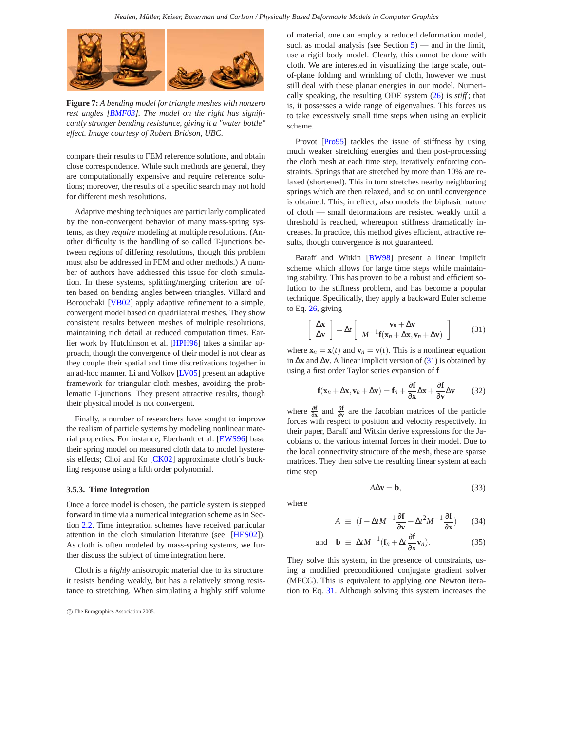<span id="page-8-3"></span>

**Figure 7:** *A bending model for triangle meshes with nonzero rest angles [\[BMF03\]](#page-20-13). The model on the right has significantly stronger bending resistance, giving it a "water bottle" effect. Image courtesy of Robert Bridson, UBC.*

<span id="page-8-0"></span>compare their results to FEM reference solutions, and obtain close correspondence. While such methods are general, they are computationally expensive and require reference solutions; moreover, the results of a specific search may not hold for different mesh resolutions.

Adaptive meshing techniques are particularly complicated by the non-convergent behavior of many mass-spring systems, as they *require* modeling at multiple resolutions. (Another difficulty is the handling of so called T-junctions between regions of differing resolutions, though this problem must also be addressed in FEM and other methods.) A number of authors have addressed this issue for cloth simulation. In these systems, splitting/merging criterion are often based on bending angles between triangles. Villard and Borouchaki [\[VB02\]](#page-23-23) apply adaptive refinement to a simple, convergent model based on quadrilateral meshes. They show consistent results between meshes of multiple resolutions, maintaining rich detail at reduced computation times. Ear-lier work by Hutchinson et al. [\[HPH96\]](#page-21-23) takes a similar approach, though the convergence of their model is not clear as they couple their spatial and time discretizations together in an ad-hoc manner. Li and Volkov [\[LV05\]](#page-22-27) present an adaptive framework for triangular cloth meshes, avoiding the problematic T-junctions. They present attractive results, though their physical model is not convergent.

Finally, a number of researchers have sought to improve the realism of particle systems by modeling nonlinear material properties. For instance, Eberhardt et al. [\[EWS96\]](#page-21-24) base their spring model on measured cloth data to model hysteresis effects; Choi and Ko [\[CK02\]](#page-21-25) approximate cloth's buckling response using a fifth order polynomial.

## **3.5.3. Time Integration**

Once a force model is chosen, the particle system is stepped forward in time via a numerical integration scheme as in Section [2.2.](#page-2-0) Time integration schemes have received particular attention in the cloth simulation literature (see [\[HES02\]](#page-21-6)). As cloth is often modeled by mass-spring systems, we further discuss the subject of time integration here.

Cloth is a *highly* anisotropic material due to its structure: it resists bending weakly, but has a relatively strong resistance to stretching. When simulating a highly stiff volume of material, one can employ a reduced deformation model, such as modal analysis (see Section  $5$ ) — and in the limit, use a rigid body model. Clearly, this cannot be done with cloth. We are interested in visualizing the large scale, outof-plane folding and wrinkling of cloth, however we must still deal with these planar energies in our model. Numerically speaking, the resulting ODE system [\(26\)](#page-6-2) is *stiff* ; that is, it possesses a wide range of eigenvalues. This forces us to take excessively small time steps when using an explicit scheme.

Provot [\[Pro95\]](#page-23-24) tackles the issue of stiffness by using much weaker stretching energies and then post-processing the cloth mesh at each time step, iteratively enforcing constraints. Springs that are stretched by more than 10% are relaxed (shortened). This in turn stretches nearby neighboring springs which are then relaxed, and so on until convergence is obtained. This, in effect, also models the biphasic nature of cloth — small deformations are resisted weakly until a threshold is reached, whereupon stiffness dramatically increases. In practice, this method gives efficient, attractive results, though convergence is not guaranteed.

Baraff and Witkin [\[BW98\]](#page-20-11) present a linear implicit scheme which allows for large time steps while maintaining stability. This has proven to be a robust and efficient solution to the stiffness problem, and has become a popular technique. Specifically, they apply a backward Euler scheme to Eq. [26,](#page-6-2) giving

$$
\left[\begin{array}{c}\Delta \mathbf{x}\\\Delta \mathbf{v}\end{array}\right] = \Delta t \left[\begin{array}{c}\mathbf{v}_n + \Delta \mathbf{v}\\\ M^{-1} \mathbf{f}(\mathbf{x}_n + \Delta \mathbf{x}, \mathbf{v}_n + \Delta \mathbf{v})\end{array}\right]
$$
(31)

<span id="page-8-1"></span>where  $\mathbf{x}_n = \mathbf{x}(t)$  and  $\mathbf{v}_n = \mathbf{v}(t)$ . This is a nonlinear equation in ∆**x** and ∆**v**. A linear implicit version of [\(31\)](#page-8-1) is obtained by using a first order Taylor series expansion of **f**

$$
\mathbf{f}(\mathbf{x}_n + \Delta \mathbf{x}, \mathbf{v}_n + \Delta \mathbf{v}) = \mathbf{f}_n + \frac{\partial \mathbf{f}}{\partial \mathbf{x}} \Delta \mathbf{x} + \frac{\partial \mathbf{f}}{\partial \mathbf{v}} \Delta \mathbf{v}
$$
 (32)

where  $\frac{\partial f}{\partial x}$  and  $\frac{\partial f}{\partial y}$  are the Jacobian matrices of the particle forces with respect to position and velocity respectively. In their paper, Baraff and Witkin derive expressions for the Jacobians of the various internal forces in their model. Due to the local connectivity structure of the mesh, these are sparse matrices. They then solve the resulting linear system at each time step

$$
A\Delta \mathbf{v} = \mathbf{b},\tag{33}
$$

<span id="page-8-2"></span>where

$$
A \equiv (I - \Delta t M^{-1} \frac{\partial \mathbf{f}}{\partial \mathbf{v}} - \Delta t^2 M^{-1} \frac{\partial \mathbf{f}}{\partial \mathbf{x}})
$$
 (34)

and **b** 
$$
\equiv \Delta t M^{-1} (\mathbf{f}_n + \Delta t \frac{\partial \mathbf{f}}{\partial \mathbf{x}} \mathbf{v}_n).
$$
 (35)

They solve this system, in the presence of constraints, using a modified preconditioned conjugate gradient solver (MPCG). This is equivalent to applying one Newton iteration to Eq. [31.](#page-8-1) Although solving this system increases the

c The Eurographics Association 2005.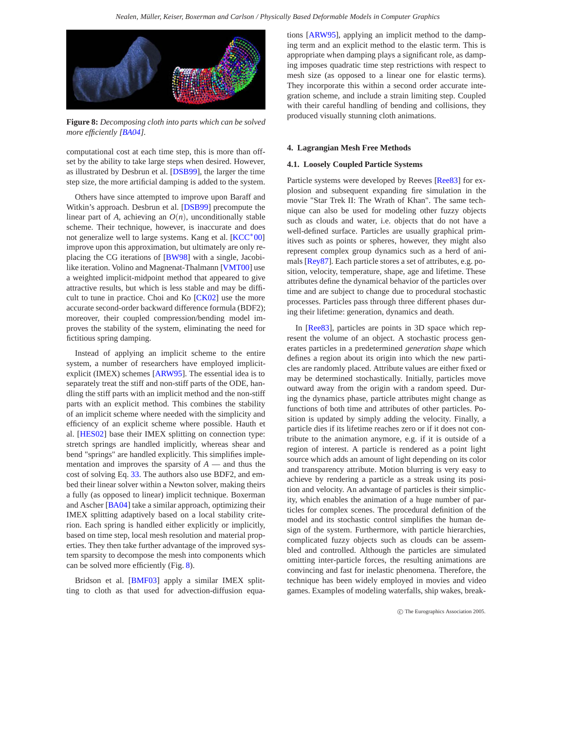<span id="page-9-3"></span>

<span id="page-9-1"></span>**Figure 8:** *Decomposing cloth into parts which can be solved more efficiently [\[BA04\]](#page-20-16).*

computational cost at each time step, this is more than offset by the ability to take large steps when desired. However, as illustrated by Desbrun et al. [\[DSB99\]](#page-21-11), the larger the time step size, the more artificial damping is added to the system.

Others have since attempted to improve upon Baraff and Witkin's approach. Desbrun et al. [\[DSB99\]](#page-21-11) precompute the linear part of *A*, achieving an  $O(n)$ , unconditionally stable scheme. Their technique, however, is inaccurate and does not generalize well to large systems. Kang et al. [\[KCC](#page-22-28)<sup>∗</sup>00] improve upon this approximation, but ultimately are only replacing the CG iterations of [\[BW98\]](#page-20-11) with a single, Jacobi-like iteration. Volino and Magnenat-Thalmann [\[VMT00\]](#page-23-25) use a weighted implicit-midpoint method that appeared to give attractive results, but which is less stable and may be difficult to tune in practice. Choi and Ko [\[CK02\]](#page-21-25) use the more accurate second-order backward difference formula (BDF2); moreover, their coupled compression/bending model improves the stability of the system, eliminating the need for fictitious spring damping.

Instead of applying an implicit scheme to the entire system, a number of researchers have employed implicitexplicit (IMEX) schemes [\[ARW95\]](#page-20-17). The essential idea is to separately treat the stiff and non-stiff parts of the ODE, handling the stiff parts with an implicit method and the non-stiff parts with an explicit method. This combines the stability of an implicit scheme where needed with the simplicity and efficiency of an explicit scheme where possible. Hauth et al. [\[HES02\]](#page-21-6) base their IMEX splitting on connection type: stretch springs are handled implicitly, whereas shear and bend "springs" are handled explicitly. This simplifies implementation and improves the sparsity of *A* — and thus the cost of solving Eq. [33.](#page-8-2) The authors also use BDF2, and embed their linear solver within a Newton solver, making theirs a fully (as opposed to linear) implicit technique. Boxerman and Ascher [\[BA04\]](#page-20-16) take a similar approach, optimizing their IMEX splitting adaptively based on a local stability criterion. Each spring is handled either explicitly or implicitly, based on time step, local mesh resolution and material properties. They then take further advantage of the improved system sparsity to decompose the mesh into components which can be solved more efficiently (Fig. [8\)](#page-9-1).

Bridson et al. [\[BMF03\]](#page-20-13) apply a similar IMEX splitting to cloth as that used for advection-diffusion equations [\[ARW95\]](#page-20-17), applying an implicit method to the damping term and an explicit method to the elastic term. This is appropriate when damping plays a significant role, as damping imposes quadratic time step restrictions with respect to mesh size (as opposed to a linear one for elastic terms). They incorporate this within a second order accurate integration scheme, and include a strain limiting step. Coupled with their careful handling of bending and collisions, they produced visually stunning cloth animations.

## <span id="page-9-2"></span><span id="page-9-0"></span>**4. Lagrangian Mesh Free Methods**

#### **4.1. Loosely Coupled Particle Systems**

Particle systems were developed by Reeves [\[Ree83\]](#page-23-26) for explosion and subsequent expanding fire simulation in the movie "Star Trek II: The Wrath of Khan". The same technique can also be used for modeling other fuzzy objects such as clouds and water, i.e. objects that do not have a well-defined surface. Particles are usually graphical primitives such as points or spheres, however, they might also represent complex group dynamics such as a herd of animals [\[Rey87\]](#page-23-27). Each particle stores a set of attributes, e.g. position, velocity, temperature, shape, age and lifetime. These attributes define the dynamical behavior of the particles over time and are subject to change due to procedural stochastic processes. Particles pass through three different phases during their lifetime: generation, dynamics and death.

In [\[Ree83\]](#page-23-26), particles are points in 3D space which represent the volume of an object. A stochastic process generates particles in a predetermined *generation shape* which defines a region about its origin into which the new particles are randomly placed. Attribute values are either fixed or may be determined stochastically. Initially, particles move outward away from the origin with a random speed. During the dynamics phase, particle attributes might change as functions of both time and attributes of other particles. Position is updated by simply adding the velocity. Finally, a particle dies if its lifetime reaches zero or if it does not contribute to the animation anymore, e.g. if it is outside of a region of interest. A particle is rendered as a point light source which adds an amount of light depending on its color and transparency attribute. Motion blurring is very easy to achieve by rendering a particle as a streak using its position and velocity. An advantage of particles is their simplicity, which enables the animation of a huge number of particles for complex scenes. The procedural definition of the model and its stochastic control simplifies the human design of the system. Furthermore, with particle hierarchies, complicated fuzzy objects such as clouds can be assembled and controlled. Although the particles are simulated omitting inter-particle forces, the resulting animations are convincing and fast for inelastic phenomena. Therefore, the technique has been widely employed in movies and video games. Examples of modeling waterfalls, ship wakes, break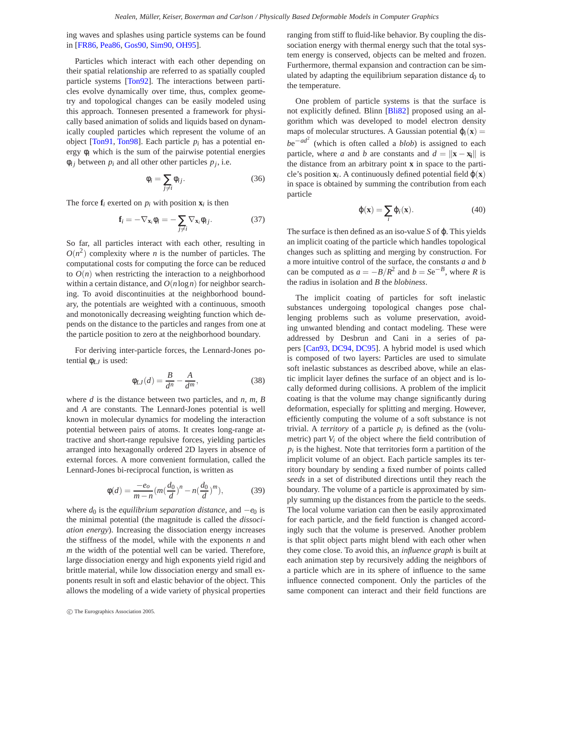<span id="page-10-0"></span>ing waves and splashes using particle systems can be found in [\[FR86,](#page-21-26) [Pea86,](#page-23-28) [Gos90,](#page-21-27) [Sim90,](#page-23-29) [OH95\]](#page-22-29).

Particles which interact with each other depending on their spatial relationship are referred to as spatially coupled particle systems [\[Ton92\]](#page-23-30). The interactions between particles evolve dynamically over time, thus, complex geometry and topological changes can be easily modeled using this approach. Tonnesen presented a framework for physically based animation of solids and liquids based on dynamically coupled particles which represent the volume of an object [\[Ton91,](#page-23-31) [Ton98\]](#page-23-32). Each particle  $p_i$  has a potential energy  $\phi_i$  which is the sum of the pairwise potential energies  $\phi_{ij}$  between  $p_i$  and all other other particles  $p_j$ , i.e.

$$
\phi_i = \sum_{j \neq i} \phi_{ij}.\tag{36}
$$

The force  $f_i$  exerted on  $p_i$  with position  $\mathbf{x}_i$  is then

$$
\mathbf{f}_i = -\nabla_{\mathbf{x}_i} \phi_i = -\sum_{j \neq i} \nabla_{\mathbf{x}_i} \phi_{ij}.
$$
 (37)

So far, all particles interact with each other, resulting in  $O(n^2)$  complexity where *n* is the number of particles. The computational costs for computing the force can be reduced to  $O(n)$  when restricting the interaction to a neighborhood within a certain distance, and *O*(*n*log*n*) for neighbor searching. To avoid discontinuities at the neighborhood boundary, the potentials are weighted with a continuous, smooth and monotonically decreasing weighting function which depends on the distance to the particles and ranges from one at the particle position to zero at the neighborhood boundary.

For deriving inter-particle forces, the Lennard-Jones potential φ*LJ* is used:

$$
\phi_{LJ}(d) = \frac{B}{d^n} - \frac{A}{d^m},\tag{38}
$$

where *d* is the distance between two particles, and *n*, *m*, *B* and *A* are constants. The Lennard-Jones potential is well known in molecular dynamics for modeling the interaction potential between pairs of atoms. It creates long-range attractive and short-range repulsive forces, yielding particles arranged into hexagonally ordered 2D layers in absence of external forces. A more convenient formulation, called the Lennard-Jones bi-reciprocal function, is written as

$$
\phi(d) = \frac{-e_0}{m - n} (m(\frac{d_0}{d})^n - n(\frac{d_0}{d})^m),
$$
 (39)

where  $d_0$  is the *equilibrium separation distance*, and  $-e_0$  is the minimal potential (the magnitude is called the *dissociation energy*). Increasing the dissociation energy increases the stiffness of the model, while with the exponents *n* and *m* the width of the potential well can be varied. Therefore, large dissociation energy and high exponents yield rigid and brittle material, while low dissociation energy and small exponents result in soft and elastic behavior of the object. This allows the modeling of a wide variety of physical properties

c The Eurographics Association 2005.

ranging from stiff to fluid-like behavior. By coupling the dissociation energy with thermal energy such that the total system energy is conserved, objects can be melted and frozen. Furthermore, thermal expansion and contraction can be simulated by adapting the equilibrium separation distance  $d_0$  to the temperature.

One problem of particle systems is that the surface is not explicitly defined. Blinn [\[Bli82\]](#page-20-18) proposed using an algorithm which was developed to model electron density maps of molecular structures. A Gaussian potential  $\varphi_i(\mathbf{x}) =$ *b*e<sup>−*ad*<sup>2</sup> (which is often called a *blob*) is assigned to each</sup> particle, where *a* and *b* are constants and  $d = ||\mathbf{x} - \mathbf{x_i}||$  is the distance from an arbitrary point **x** in space to the particle's position  $\mathbf{x}_i$ . A continuously defined potential field  $\varphi(\mathbf{x})$ in space is obtained by summing the contribution from each particle

$$
\varphi(\mathbf{x}) = \sum_{i} \varphi_i(\mathbf{x}). \tag{40}
$$

The surface is then defined as an iso-value *S* of ϕ. This yields an implicit coating of the particle which handles topological changes such as splitting and merging by construction. For a more intuitive control of the surface, the constants *a* and *b* can be computed as  $a = -B/R^2$  and  $b = Se^{-B}$ , where *R* is the radius in isolation and *B* the *blobiness*.

The implicit coating of particles for soft inelastic substances undergoing topological changes pose challenging problems such as volume preservation, avoiding unwanted blending and contact modeling. These were addressed by Desbrun and Cani in a series of papers [\[Can93,](#page-20-19) [DC94,](#page-21-28) [DC95\]](#page-21-29). A hybrid model is used which is composed of two layers: Particles are used to simulate soft inelastic substances as described above, while an elastic implicit layer defines the surface of an object and is locally deformed during collisions. A problem of the implicit coating is that the volume may change significantly during deformation, especially for splitting and merging. However, efficiently computing the volume of a soft substance is not trivial. A *territory* of a particle  $p_i$  is defined as the (volumetric) part  $V_i$  of the object where the field contribution of  $p_i$  is the highest. Note that territories form a partition of the implicit volume of an object. Each particle samples its territory boundary by sending a fixed number of points called *seeds* in a set of distributed directions until they reach the boundary. The volume of a particle is approximated by simply summing up the distances from the particle to the seeds. The local volume variation can then be easily approximated for each particle, and the field function is changed accordingly such that the volume is preserved. Another problem is that split object parts might blend with each other when they come close. To avoid this, an *influence graph* is built at each animation step by recursively adding the neighbors of a particle which are in its sphere of influence to the same influence connected component. Only the particles of the same component can interact and their field functions are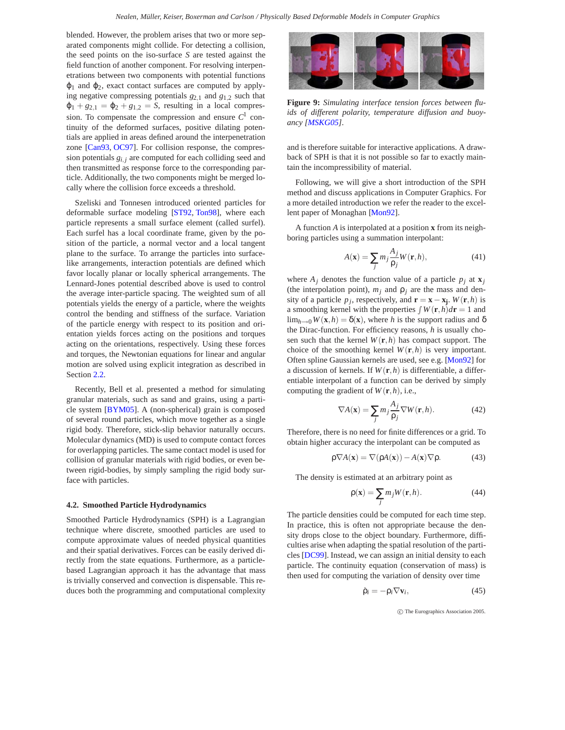<span id="page-11-3"></span>blended. However, the problem arises that two or more separated components might collide. For detecting a collision, the seed points on the iso-surface *S* are tested against the field function of another component. For resolving interpenetrations between two components with potential functions  $\varphi_1$  and  $\varphi_2$ , exact contact surfaces are computed by applying negative compressing potentials *g*2*,*<sup>1</sup> and *g*1*,*<sup>2</sup> such that  $\varphi_1 + g_{2,1} = \varphi_2 + g_{1,2} = S$ , resulting in a local compression. To compensate the compression and ensure  $C<sup>1</sup>$  continuity of the deformed surfaces, positive dilating potentials are applied in areas defined around the interpenetration zone [\[Can93,](#page-20-19) [OC97\]](#page-22-30). For collision response, the compression potentials  $g_{i,j}$  are computed for each colliding seed and then transmitted as response force to the corresponding particle. Additionally, the two components might be merged locally where the collision force exceeds a threshold.

Szeliski and Tonnesen introduced oriented particles for deformable surface modeling [\[ST92,](#page-23-33) [Ton98\]](#page-23-32), where each particle represents a small surface element (called surfel). Each surfel has a local coordinate frame, given by the position of the particle, a normal vector and a local tangent plane to the surface. To arrange the particles into surfacelike arrangements, interaction potentials are defined which favor locally planar or locally spherical arrangements. The Lennard-Jones potential described above is used to control the average inter-particle spacing. The weighted sum of all potentials yields the energy of a particle, where the weights control the bending and stiffness of the surface. Variation of the particle energy with respect to its position and orientation yields forces acting on the positions and torques acting on the orientations, respectively. Using these forces and torques, the Newtonian equations for linear and angular motion are solved using explicit integration as described in Section [2.2.](#page-2-0)

Recently, Bell et al. presented a method for simulating granular materials, such as sand and grains, using a particle system [\[BYM05\]](#page-20-20). A (non-spherical) grain is composed of several round particles, which move together as a single rigid body. Therefore, stick-slip behavior naturally occurs. Molecular dynamics (MD) is used to compute contact forces for overlapping particles. The same contact model is used for collision of granular materials with rigid bodies, or even between rigid-bodies, by simply sampling the rigid body surface with particles.

#### <span id="page-11-2"></span>**4.2. Smoothed Particle Hydrodynamics**

Smoothed Particle Hydrodynamics (SPH) is a Lagrangian technique where discrete, smoothed particles are used to compute approximate values of needed physical quantities and their spatial derivatives. Forces can be easily derived directly from the state equations. Furthermore, as a particlebased Lagrangian approach it has the advantage that mass is trivially conserved and convection is dispensable. This reduces both the programming and computational complexity



**Figure 9:** *Simulating interface tension forces between fluids of different polarity, temperature diffusion and buoyancy [\[MSKG05\]](#page-22-31).*

<span id="page-11-1"></span>and is therefore suitable for interactive applications. A drawback of SPH is that it is not possible so far to exactly maintain the incompressibility of material.

Following, we will give a short introduction of the SPH method and discuss applications in Computer Graphics. For a more detailed introduction we refer the reader to the excellent paper of Monaghan [\[Mon92\]](#page-22-32).

A function *A* is interpolated at a position **x** from its neighboring particles using a summation interpolant:

$$
A(\mathbf{x}) = \sum_{j} m_j \frac{A_j}{\rho_j} W(\mathbf{r}, h), \tag{41}
$$

where  $A_j$  denotes the function value of a particle  $p_j$  at  $\mathbf{x}_j$ (the interpolation point),  $m_j$  and  $\rho_j$  are the mass and density of a particle  $p_j$ , respectively, and  $\mathbf{r} = \mathbf{x} - \mathbf{x_j}$ .  $W(\mathbf{r}, h)$  is a smoothing kernel with the properties  $\int W(\mathbf{r},h)d\mathbf{r} = 1$  and lim<sub>*h*→0</sub>*W*( $\mathbf{x}, h$ ) =  $\delta(\mathbf{x})$ , where *h* is the support radius and  $\delta$ the Dirac-function. For efficiency reasons, *h* is usually chosen such that the kernel  $W(\mathbf{r},h)$  has compact support. The choice of the smoothing kernel  $W(\mathbf{r}, h)$  is very important. Often spline Gaussian kernels are used, see e.g. [\[Mon92\]](#page-22-32) for a discussion of kernels. If  $W(\mathbf{r}, h)$  is differentiable, a differentiable interpolant of a function can be derived by simply computing the gradient of  $W(\mathbf{r},h)$ , i.e.,

$$
\nabla A(\mathbf{x}) = \sum_{j} m_j \frac{A_j}{\rho_j} \nabla W(\mathbf{r}, h). \tag{42}
$$

<span id="page-11-0"></span>Therefore, there is no need for finite differences or a grid. To obtain higher accuracy the interpolant can be computed as

$$
\rho \nabla A(\mathbf{x}) = \nabla(\rho A(\mathbf{x})) - A(\mathbf{x}) \nabla \rho.
$$
 (43)

The density is estimated at an arbitrary point as

$$
\rho(\mathbf{x}) = \sum_{j} m_j W(\mathbf{r}, h). \tag{44}
$$

The particle densities could be computed for each time step. In practice, this is often not appropriate because the density drops close to the object boundary. Furthermore, difficulties arise when adapting the spatial resolution of the particles [\[DC99\]](#page-21-30). Instead, we can assign an initial density to each particle. The continuity equation (conservation of mass) is then used for computing the variation of density over time

$$
\dot{\rho}_i = -\rho_i \nabla \mathbf{v}_i,\tag{45}
$$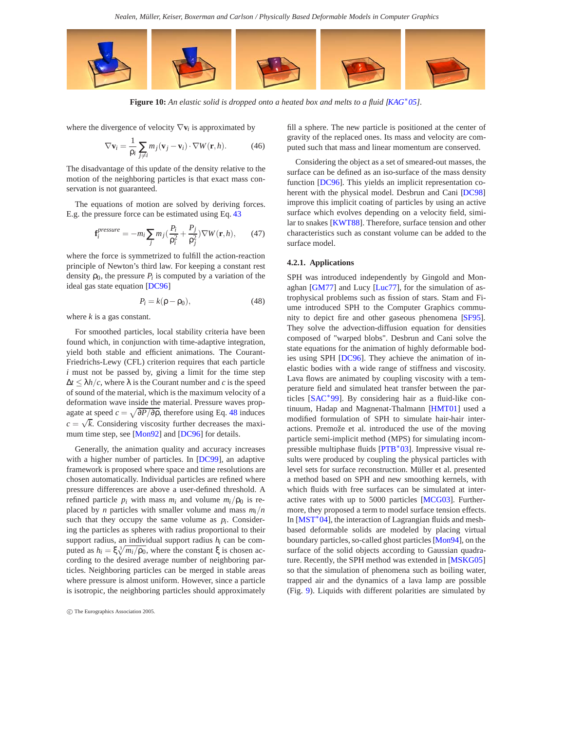*Nealen, Müller, Keiser, Boxerman and Carlson / Physically Based Deformable Models in Computer Graphics*

<span id="page-12-2"></span>

**Figure 10:** *An elastic solid is dropped onto a heated box and melts to a fluid [\[KAG](#page-22-33)*∗*05].*

where the divergence of velocity ∇**v***<sup>i</sup>* is approximated by

<span id="page-12-1"></span>
$$
\nabla \mathbf{v}_i = \frac{1}{\rho_i} \sum_{j \neq i} m_j (\mathbf{v}_j - \mathbf{v}_i) \cdot \nabla W(\mathbf{r}, h).
$$
 (46)

The disadvantage of this update of the density relative to the motion of the neighboring particles is that exact mass conservation is not guaranteed.

The equations of motion are solved by deriving forces. E.g. the pressure force can be estimated using Eq. [43](#page-11-0)

$$
\mathbf{f}_{i}^{pressure} = -m_i \sum_{j} m_j \left(\frac{P_i}{\rho_i^2} + \frac{P_j}{\rho_j^2}\right) \nabla W(\mathbf{r}, h), \qquad (47)
$$

where the force is symmetrized to fulfill the action-reaction principle of Newton's third law. For keeping a constant rest density  $\rho_0$ , the pressure  $P_i$  is computed by a variation of the ideal gas state equation [\[DC96\]](#page-21-31)

$$
P_i = k(\rho - \rho_0),\tag{48}
$$

<span id="page-12-0"></span>where *k* is a gas constant.

For smoothed particles, local stability criteria have been found which, in conjunction with time-adaptive integration, yield both stable and efficient animations. The Courant-Friedrichs-Lewy (CFL) criterion requires that each particle *i* must not be passed by, giving a limit for the time step  $\Delta t \leq \lambda h/c$ , where  $\lambda$  is the Courant number and *c* is the speed of sound of the material, which is the maximum velocity of a deformation wave inside the material. Pressure waves propagate at speed  $c = \sqrt{\partial P/\partial \rho}$ , therefore using Eq. [48](#page-12-0) induces  $c = \sqrt{k}$ . Considering viscosity further decreases the maxi-mum time step, see [\[Mon92\]](#page-22-32) and [\[DC96\]](#page-21-31) for details.

Generally, the animation quality and accuracy increases with a higher number of particles. In [\[DC99\]](#page-21-30), an adaptive framework is proposed where space and time resolutions are chosen automatically. Individual particles are refined where pressure differences are above a user-defined threshold. A refined particle  $p_i$  with mass  $m_i$  and volume  $m_i/p_0$  is replaced by *n* particles with smaller volume and mass  $m_i/n$ such that they occupy the same volume as  $p_i$ . Considering the particles as spheres with radius proportional to their support radius, an individual support radius *hi* can be computed as  $h_i = \xi \sqrt[3]{m_i/\rho_0}$ , where the constant ξ is chosen according to the desired average number of neighboring particles. Neighboring particles can be merged in stable areas where pressure is almost uniform. However, since a particle is isotropic, the neighboring particles should approximately fill a sphere. The new particle is positioned at the center of gravity of the replaced ones. Its mass and velocity are computed such that mass and linear momentum are conserved.

Considering the object as a set of smeared-out masses, the surface can be defined as an iso-surface of the mass density function [\[DC96\]](#page-21-31). This yields an implicit representation coherent with the physical model. Desbrun and Cani [\[DC98\]](#page-21-32) improve this implicit coating of particles by using an active surface which evolves depending on a velocity field, similar to snakes [\[KWT88\]](#page-22-34). Therefore, surface tension and other characteristics such as constant volume can be added to the surface model.

## **4.2.1. Applications**

SPH was introduced independently by Gingold and Monaghan [\[GM77\]](#page-21-33) and Lucy [\[Luc77\]](#page-22-35), for the simulation of astrophysical problems such as fission of stars. Stam and Fiume introduced SPH to the Computer Graphics community to depict fire and other gaseous phenomena [\[SF95\]](#page-23-34). They solve the advection-diffusion equation for densities composed of "warped blobs". Desbrun and Cani solve the state equations for the animation of highly deformable bodies using SPH [\[DC96\]](#page-21-31). They achieve the animation of inelastic bodies with a wide range of stiffness and viscosity. Lava flows are animated by coupling viscosity with a temperature field and simulated heat transfer between the particles [\[SAC](#page-23-35)∗99]. By considering hair as a fluid-like continuum, Hadap and Magnenat-Thalmann [\[HMT01\]](#page-21-34) used a modified formulation of SPH to simulate hair-hair interactions. Premože et al. introduced the use of the moving particle semi-implicit method (MPS) for simulating incompressible multiphase fluids [\[PTB](#page-23-36)∗03]. Impressive visual results were produced by coupling the physical particles with level sets for surface reconstruction. Müller et al. presented a method based on SPH and new smoothing kernels, with which fluids with free surfaces can be simulated at interactive rates with up to 5000 particles [\[MCG03\]](#page-22-36). Furthermore, they proposed a term to model surface tension effects. In [\[MST](#page-22-37)∗04], the interaction of Lagrangian fluids and meshbased deformable solids are modeled by placing virtual boundary particles, so-called ghost particles [\[Mon94\]](#page-22-38), on the surface of the solid objects according to Gaussian quadrature. Recently, the SPH method was extended in [\[MSKG05\]](#page-22-31) so that the simulation of phenomena such as boiling water, trapped air and the dynamics of a lava lamp are possible (Fig. [9\)](#page-11-1). Liquids with different polarities are simulated by

c The Eurographics Association 2005.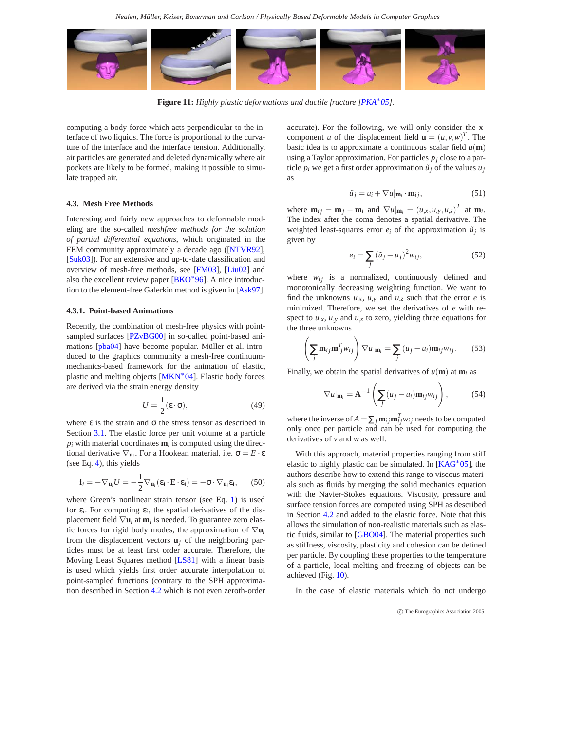<span id="page-13-1"></span>

**Figure 11:** *Highly plastic deformations and ductile fracture [\[PKA](#page-23-37)*∗*05].*

<span id="page-13-0"></span>computing a body force which acts perpendicular to the interface of two liquids. The force is proportional to the curvature of the interface and the interface tension. Additionally, air particles are generated and deleted dynamically where air pockets are likely to be formed, making it possible to simulate trapped air.

## **4.3. Mesh Free Methods**

Interesting and fairly new approaches to deformable modeling are the so-called *meshfree methods for the solution of partial differential equations*, which originated in the FEM community approximately a decade ago ([\[NTVR92\]](#page-22-39), [\[Suk03\]](#page-23-38)). For an extensive and up-to-date classification and overview of mesh-free methods, see [\[FM03\]](#page-21-35), [\[Liu02\]](#page-22-40) and also the excellent review paper [\[BKO](#page-20-21)∗96]. A nice introduction to the element-free Galerkin method is given in [\[Ask97\]](#page-20-22).

### **4.3.1. Point-based Animations**

Recently, the combination of mesh-free physics with point-sampled surfaces [\[PZvBG00\]](#page-23-39) in so-called point-based animations [\[pba04\]](#page-22-41) have become popular. Müller et al. introduced to the graphics community a mesh-free continuummechanics-based framework for the animation of elastic, plastic and melting objects [\[MKN](#page-22-42)∗04]. Elastic body forces are derived via the strain energy density

$$
U = \frac{1}{2} (\varepsilon \cdot \sigma), \tag{49}
$$

where  $\varepsilon$  is the strain and  $\sigma$  the stress tensor as described in Section [3.1.](#page-2-1) The elastic force per unit volume at a particle  $p_i$  with material coordinates  $m_i$  is computed using the directional derivative  $\nabla$ **u**<sub>*i*</sub>. For a Hookean material, i.e.  $\sigma = E \cdot \varepsilon$ (see Eq. [4\)](#page-2-2), this yields

$$
\mathbf{f}_i = -\nabla_{\mathbf{u}_i} U = -\frac{1}{2} \nabla_{\mathbf{u}_i} (\varepsilon_\mathbf{i} \cdot \mathbf{E} \cdot \varepsilon_\mathbf{i}) = -\boldsymbol{\sigma} \cdot \nabla_{\mathbf{u}_i} \varepsilon_\mathbf{i}, \qquad (50)
$$

where Green's nonlinear strain tensor (see Eq. [1\)](#page-1-1) is used for  $\varepsilon_i$ . For computing  $\varepsilon_i$ , the spatial derivatives of the displacement field  $\nabla$ **u**<sub>*i*</sub> at **m**<sub>*i*</sub> is needed. To guarantee zero elastic forces for rigid body modes, the approximation of  $\nabla$ **u**<sup>*i*</sup> from the displacement vectors  $\mathbf{u}_i$  of the neighboring particles must be at least first order accurate. Therefore, the Moving Least Squares method [\[LS81\]](#page-22-43) with a linear basis is used which yields first order accurate interpolation of point-sampled functions (contrary to the SPH approximation described in Section [4.2](#page-11-2) which is not even zeroth-order accurate). For the following, we will only consider the xcomponent *u* of the displacement field  $\mathbf{u} = (u, v, w)^T$ . The basic idea is to approximate a continuous scalar field  $u(\mathbf{m})$ using a Taylor approximation. For particles  $p_i$  close to a particle  $p_i$  we get a first order approximation  $\tilde{u}_i$  of the values  $u_i$ as

$$
\tilde{u}_j = u_i + \nabla u |_{\mathbf{m}_i} \cdot \mathbf{m}_{ij},\tag{51}
$$

where  $\mathbf{m}_{ij} = \mathbf{m}_j - \mathbf{m}_i$  and  $\nabla u |_{\mathbf{m}_i} = (u_{,x}, u_{,y}, u_{,z})^T$  at  $\mathbf{m}_i$ . The index after the coma denotes a spatial derivative. The weighted least-squares error  $e_i$  of the approximation  $\tilde{u}_i$  is given by

$$
e_i = \sum_j (\tilde{u}_j - u_j)^2 w_{ij},
$$
\n(52)

where  $w_{ij}$  is a normalized, continuously defined and monotonically decreasing weighting function. We want to find the unknowns  $u_{,x}$ ,  $u_{,y}$  and  $u_{,z}$  such that the error *e* is minimized. Therefore, we set the derivatives of *e* with respect to  $u_x$ ,  $u_y$  and  $u_z$  to zero, yielding three equations for the three unknowns

$$
\left(\sum_{j} \mathbf{m}_{ij} \mathbf{m}_{ij}^T w_{ij}\right) \nabla u |_{\mathbf{m}_i} = \sum_{j} (u_j - u_i) \mathbf{m}_{ij} w_{ij}.
$$
 (53)

Finally, we obtain the spatial derivatives of  $u(\mathbf{m})$  at  $\mathbf{m}_i$  as

$$
\nabla u|_{\mathbf{m}_i} = \mathbf{A}^{-1} \left( \sum_j (u_j - u_i) \mathbf{m}_{ij} w_{ij} \right), \tag{54}
$$

where the inverse of  $A = \sum_j \mathbf{m}_{ij} \mathbf{m}_{ij}^T w_{ij}$  needs to be computed only once per particle and can be used for computing the derivatives of *v* and *w* as well.

With this approach, material properties ranging from stiff elastic to highly plastic can be simulated. In  $[KAG^*05]$  $[KAG^*05]$ , the authors describe how to extend this range to viscous materials such as fluids by merging the solid mechanics equation with the Navier-Stokes equations. Viscosity, pressure and surface tension forces are computed using SPH as described in Section [4.2](#page-11-2) and added to the elastic force. Note that this allows the simulation of non-realistic materials such as elastic fluids, similar to [\[GBO04\]](#page-21-36). The material properties such as stiffness, viscosity, plasticity and cohesion can be defined per particle. By coupling these properties to the temperature of a particle, local melting and freezing of objects can be achieved (Fig. [10\)](#page-12-1).

In the case of elastic materials which do not undergo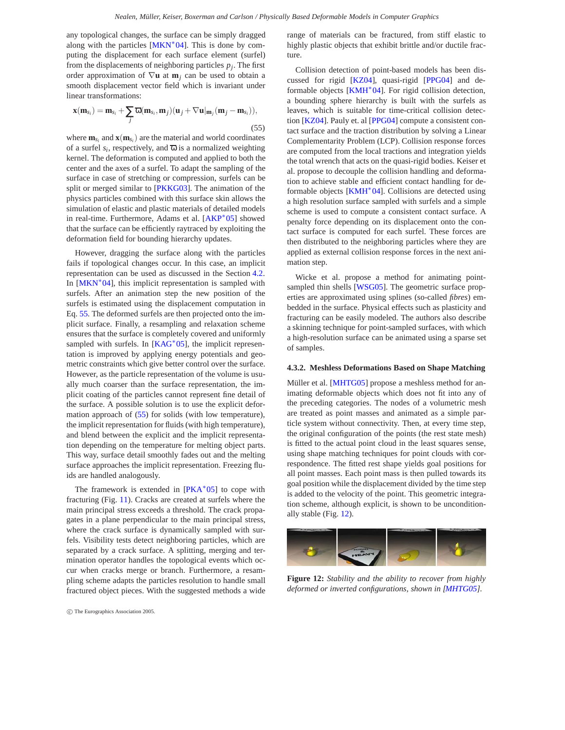<span id="page-14-2"></span>any topological changes, the surface can be simply dragged along with the particles  $[MKN^*04]$  $[MKN^*04]$ . This is done by computing the displacement for each surface element (surfel) from the displacements of neighboring particles  $p_i$ . The first order approximation of ∇**u** at **m***<sup>j</sup>* can be used to obtain a smooth displacement vector field which is invariant under linear transformations:

<span id="page-14-0"></span>
$$
\mathbf{x}(\mathbf{m}_{s_i}) = \mathbf{m}_{s_i} + \sum_j \overline{\omega}(\mathbf{m}_{s_i}, \mathbf{m}_j)(\mathbf{u}_j + \nabla \mathbf{u}|_{\mathbf{m}_j}(\mathbf{m}_j - \mathbf{m}_{s_i})),
$$
\n(55)

where  $\mathbf{m}_{s_i}$  and  $\mathbf{x}(\mathbf{m}_{s_i})$  are the material and world coordinates of a surfel  $s_i$ , respectively, and  $\overline{\omega}$  is a normalized weighting kernel. The deformation is computed and applied to both the center and the axes of a surfel. To adapt the sampling of the surface in case of stretching or compression, surfels can be split or merged similar to [\[PKKG03\]](#page-23-40). The animation of the physics particles combined with this surface skin allows the simulation of elastic and plastic materials of detailed models in real-time. Furthermore, Adams et al. [\[AKP](#page-20-23)∗05] showed that the surface can be efficiently raytraced by exploiting the deformation field for bounding hierarchy updates.

However, dragging the surface along with the particles fails if topological changes occur. In this case, an implicit representation can be used as discussed in the Section [4.2.](#page-11-2) In [\[MKN](#page-22-42)∗04], this implicit representation is sampled with surfels. After an animation step the new position of the surfels is estimated using the displacement computation in Eq. [55.](#page-14-0) The deformed surfels are then projected onto the implicit surface. Finally, a resampling and relaxation scheme ensures that the surface is completely covered and uniformly sampled with surfels. In [\[KAG](#page-22-33)<sup>\*</sup>05], the implicit representation is improved by applying energy potentials and geometric constraints which give better control over the surface. However, as the particle representation of the volume is usually much coarser than the surface representation, the implicit coating of the particles cannot represent fine detail of the surface. A possible solution is to use the explicit deformation approach of [\(55\)](#page-14-0) for solids (with low temperature), the implicit representation for fluids (with high temperature), and blend between the explicit and the implicit representation depending on the temperature for melting object parts. This way, surface detail smoothly fades out and the melting surface approaches the implicit representation. Freezing fluids are handled analogously.

The framework is extended in  $[PKA^*05]$  $[PKA^*05]$  to cope with fracturing (Fig. [11\)](#page-13-0). Cracks are created at surfels where the main principal stress exceeds a threshold. The crack propagates in a plane perpendicular to the main principal stress, where the crack surface is dynamically sampled with surfels. Visibility tests detect neighboring particles, which are separated by a crack surface. A splitting, merging and termination operator handles the topological events which occur when cracks merge or branch. Furthermore, a resampling scheme adapts the particles resolution to handle small fractured object pieces. With the suggested methods a wide range of materials can be fractured, from stiff elastic to highly plastic objects that exhibit brittle and/or ductile fracture.

Collision detection of point-based models has been discussed for rigid [\[KZ04\]](#page-22-44), quasi-rigid [\[PPG04\]](#page-23-41) and de-formable objects [\[KMH](#page-22-45)<sup>\*</sup>04]. For rigid collision detection, a bounding sphere hierarchy is built with the surfels as leaves, which is suitable for time-critical collision detection [\[KZ04\]](#page-22-44). Pauly et. al [\[PPG04\]](#page-23-41) compute a consistent contact surface and the traction distribution by solving a Linear Complementarity Problem (LCP). Collision response forces are computed from the local tractions and integration yields the total wrench that acts on the quasi-rigid bodies. Keiser et al. propose to decouple the collision handling and deformation to achieve stable and efficient contact handling for deformable objects [\[KMH](#page-22-45)∗04]. Collisions are detected using a high resolution surface sampled with surfels and a simple scheme is used to compute a consistent contact surface. A penalty force depending on its displacement onto the contact surface is computed for each surfel. These forces are then distributed to the neighboring particles where they are applied as external collision response forces in the next animation step.

Wicke et al. propose a method for animating point-sampled thin shells [\[WSG05\]](#page-23-42). The geometric surface properties are approximated using splines (so-called *fibres*) embedded in the surface. Physical effects such as plasticity and fracturing can be easily modeled. The authors also describe a skinning technique for point-sampled surfaces, with which a high-resolution surface can be animated using a sparse set of samples.

#### **4.3.2. Meshless Deformations Based on Shape Matching**

Müller et al. [\[MHTG05\]](#page-22-11) propose a meshless method for animating deformable objects which does not fit into any of the preceding categories. The nodes of a volumetric mesh are treated as point masses and animated as a simple particle system without connectivity. Then, at every time step, the original configuration of the points (the rest state mesh) is fitted to the actual point cloud in the least squares sense, using shape matching techniques for point clouds with correspondence. The fitted rest shape yields goal positions for all point masses. Each point mass is then pulled towards its goal position while the displacement divided by the time step is added to the velocity of the point. This geometric integration scheme, although explicit, is shown to be unconditionally stable (Fig. [12\)](#page-14-1).

<span id="page-14-1"></span>

**Figure 12:** *Stability and the ability to recover from highly deformed or inverted configurations, shown in [\[MHTG05\]](#page-22-11).*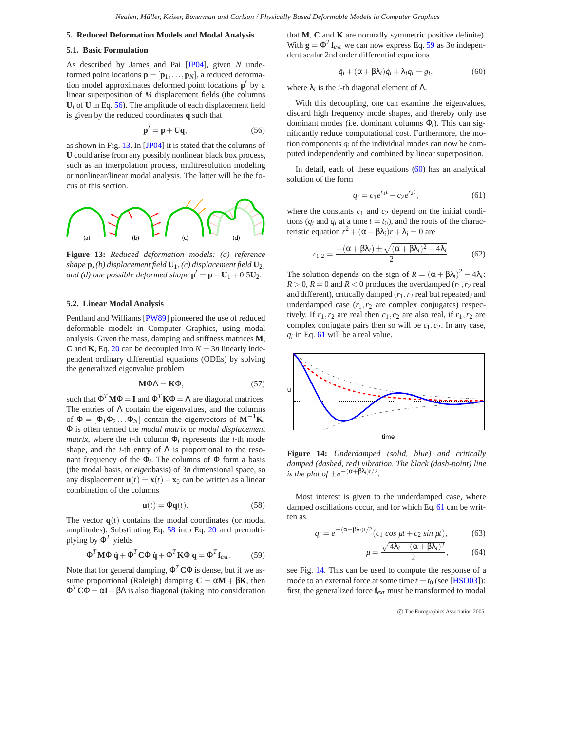## <span id="page-15-10"></span><span id="page-15-0"></span>**5. Reduced Deformation Models and Modal Analysis**

#### **5.1. Basic Formulation**

As described by James and Pai [\[JP04\]](#page-22-46), given *N* undeformed point locations  $\mathbf{p} = [\mathbf{p}_1, \dots, \mathbf{p}_N]$ , a reduced deformation model approximates deformed point locations  $\mathbf{p}'$  by a linear superposition of *M* displacement fields (the columns  $U_i$  of  $U$  in Eq. [56\)](#page-15-1). The amplitude of each displacement field is given by the reduced coordinates **q** such that

$$
\mathbf{p}' = \mathbf{p} + \mathbf{U}\mathbf{q},\tag{56}
$$

<span id="page-15-1"></span>as shown in Fig. [13.](#page-15-2) In [\[JP04\]](#page-22-46) it is stated that the columns of **U** could arise from any possibly nonlinear black box process, such as an interpolation process, multiresolution modeling or nonlinear/linear modal analysis. The latter will be the focus of this section.



<span id="page-15-2"></span>**Figure 13:** *Reduced deformation models: (a) reference shape* **p***, (b)* displacement field  $U_1$ *, (c)* displacement field  $U_2$ *, and (d) one possible deformed shape*  $\mathbf{p}' = \mathbf{p} + \mathbf{U}_1 + 0.5\mathbf{U}_2$ .

## <span id="page-15-9"></span>**5.2. Linear Modal Analysis**

Pentland and Williams [\[PW89\]](#page-23-43) pioneered the use of reduced deformable models in Computer Graphics, using modal analysis. Given the mass, damping and stiffness matrices **M**, **C** and **K**, Eq. [20](#page-3-5) can be decoupled into  $N = 3n$  linearly independent ordinary differential equations (ODEs) by solving the generalized eigenvalue problem

$$
M\Phi\Lambda = K\Phi, \tag{57}
$$

such that  $\Phi^T \mathbf{M} \Phi = \mathbf{I}$  and  $\Phi^T \mathbf{K} \Phi = \Lambda$  are diagonal matrices. The entries of  $\Lambda$  contain the eigenvalues, and the columns of  $\Phi = [\Phi_1 \Phi_2 \dots \Phi_N]$  contain the eigenvectors of **M**<sup>−1</sup>**K**. Φ is often termed the *modal matrix* or *modal displacement matrix*, where the *i*-th column  $\Phi$ <sub>*i*</sub> represents the *i*-th mode shape, and the *i*-th entry of  $\Lambda$  is proportional to the resonant frequency of the  $\Phi_i$ . The columns of  $\Phi$  form a basis (the modal basis, or *eigen*basis) of 3*n* dimensional space, so any displacement  $\mathbf{u}(t) = \mathbf{x}(t) - \mathbf{x}_0$  can be written as a linear combination of the columns

$$
\mathbf{u}(t) = \Phi \mathbf{q}(t). \tag{58}
$$

<span id="page-15-3"></span>The vector  $q(t)$  contains the modal coordinates (or modal amplitudes). Substituting Eq. [58](#page-15-3) into Eq. [20](#page-3-5) and premultiplying by  $\Phi^T$  yields

$$
\Phi^T \mathbf{M} \Phi \ddot{\mathbf{q}} + \Phi^T \mathbf{C} \Phi \dot{\mathbf{q}} + \Phi^T \mathbf{K} \Phi \mathbf{q} = \Phi^T \mathbf{f}_{ext}.
$$
 (59)

<span id="page-15-4"></span>Note that for general damping,  $\Phi^T C \Phi$  is dense, but if we assume proportional (Raleigh) damping  $C = \alpha M + \beta K$ , then Φ*<sup>T</sup>* **C**Φ = α**I**+βΛ is also diagonal (taking into consideration that **M**, **C** and **K** are normally symmetric positive definite). With  $\mathbf{g} = \Phi^T \mathbf{f}_{ext}$  we can now express Eq. [59](#page-15-4) as 3*n* independent scalar 2nd order differential equations

$$
\ddot{q}_i + (\alpha + \beta \lambda_i)\dot{q}_i + \lambda_i q_i = g_i,\tag{60}
$$

<span id="page-15-5"></span>where  $\lambda_i$  is the *i*-th diagonal element of  $\Lambda$ .

With this decoupling, one can examine the eigenvalues, discard high frequency mode shapes, and thereby only use dominant modes (i.e. dominant columns Φ*i*). This can significantly reduce computational cost. Furthermore, the motion components *qi* of the individual modes can now be computed independently and combined by linear superposition.

In detail, each of these equations  $(60)$  has an analytical solution of the form

$$
q_i = c_1 e^{r_1 t} + c_2 e^{r_2 t}, \t\t(61)
$$

<span id="page-15-6"></span>where the constants  $c_1$  and  $c_2$  depend on the initial conditions ( $q_i$  and  $\dot{q}_i$  at a time  $t = t_0$ ), and the roots of the characteristic equation  $r^2 + (\alpha + \beta \lambda_i)r + \lambda_i = 0$  are

$$
r_{1,2} = \frac{-(\alpha + \beta \lambda_i) \pm \sqrt{(\alpha + \beta \lambda_i)^2 - 4\lambda_i}}{2}.
$$
 (62)

The solution depends on the sign of  $R = (\alpha + \beta \lambda_i)^2 - 4\lambda_i$ :  $R > 0, R = 0$  and  $R < 0$  produces the overdamped  $(r_1, r_2$  real and different), critically damped  $(r_1, r_2$  real but repeated) and underdamped case  $(r_1, r_2)$  are complex conjugates) respectively. If  $r_1, r_2$  are real then  $c_1, c_2$  are also real, if  $r_1, r_2$  are complex conjugate pairs then so will be  $c_1$ ,  $c_2$ . In any case, *qi* in Eq. [61](#page-15-6) will be a real value.



<span id="page-15-7"></span>**Figure 14:** *Underdamped (solid, blue) and critically damped (dashed, red) vibration. The black (dash-point) line is the plot of*  $\pm e^{-(\alpha+\beta\lambda_i)t/2}$ .

<span id="page-15-8"></span>Most interest is given to the underdamped case, where damped oscillations occur, and for which Eq. [61](#page-15-6) can be written as

$$
q_i = e^{-(\alpha + \beta \lambda_i)t/2} (c_1 \cos \mu t + c_2 \sin \mu t), \qquad (63)
$$

$$
\mu = \frac{\sqrt{4\lambda_i - (\alpha + \beta \lambda_i)^2}}{2},\qquad(64)
$$

see Fig. [14.](#page-15-7) This can be used to compute the response of a mode to an external force at some time  $t = t_0$  (see [\[HSO03\]](#page-21-37)): first, the generalized force **f***ext* must be transformed to modal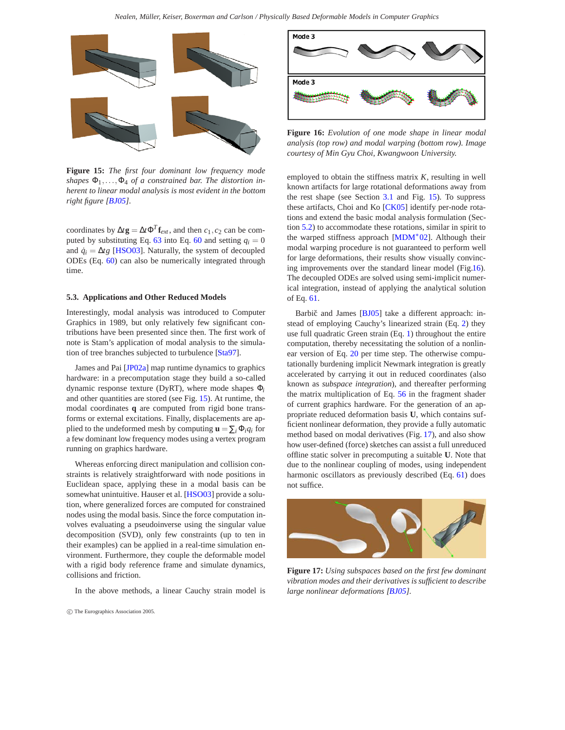<span id="page-16-3"></span>

<span id="page-16-0"></span>**Figure 15:** *The first four dominant low frequency mode*  $\mathfrak{g}$  *shapes*  $\Phi_1, \ldots, \Phi_4$  *of a constrained bar. The distortion inherent to linear modal analysis is most evident in the bottom right figure [\[BJ05\]](#page-20-24).*

coordinates by  $\Delta t$ **g** =  $\Delta t \Phi^T$ **f**<sub>*ext*</sub>, and then *c*<sub>1</sub>*, c*<sub>2</sub> can be computed by substituting Eq.  $63$  into Eq.  $60$  and setting  $q_i = 0$ and  $\dot{q}_i = \Delta t g$  [\[HSO03\]](#page-21-37). Naturally, the system of decoupled ODEs (Eq. [60\)](#page-15-5) can also be numerically integrated through time.

## **5.3. Applications and Other Reduced Models**

Interestingly, modal analysis was introduced to Computer Graphics in 1989, but only relatively few significant contributions have been presented since then. The first work of note is Stam's application of modal analysis to the simulation of tree branches subjected to turbulence [\[Sta97\]](#page-23-44).

James and Pai [\[JP02a\]](#page-21-38) map runtime dynamics to graphics hardware: in a precomputation stage they build a so-called dynamic response texture (DyRT), where mode shapes Φ*<sup>i</sup>* and other quantities are stored (see Fig. [15\)](#page-16-0). At runtime, the modal coordinates **q** are computed from rigid bone transforms or external excitations. Finally, displacements are applied to the undeformed mesh by computing  $\mathbf{u} = \sum_i \Phi_i q_i$  for a few dominant low frequency modes using a vertex program running on graphics hardware.

Whereas enforcing direct manipulation and collision constraints is relatively straightforward with node positions in Euclidean space, applying these in a modal basis can be somewhat unintuitive. Hauser et al. [\[HSO03\]](#page-21-37) provide a solution, where generalized forces are computed for constrained nodes using the modal basis. Since the force computation involves evaluating a pseudoinverse using the singular value decomposition (SVD), only few constraints (up to ten in their examples) can be applied in a real-time simulation environment. Furthermore, they couple the deformable model with a rigid body reference frame and simulate dynamics, collisions and friction.

In the above methods, a linear Cauchy strain model is



<span id="page-16-1"></span>**Figure 16:** *Evolution of one mode shape in linear modal analysis (top row) and modal warping (bottom row). Image courtesy of Min Gyu Choi, Kwangwoon University.*

employed to obtain the stiffness matrix *K*, resulting in well known artifacts for large rotational deformations away from the rest shape (see Section [3.1](#page-2-1) and Fig. [15\)](#page-16-0). To suppress these artifacts, Choi and Ko [\[CK05\]](#page-21-39) identify per-node rotations and extend the basic modal analysis formulation (Section [5.2\)](#page-15-9) to accommodate these rotations, similar in spirit to the warped stiffness approach [\[MDM](#page-22-13)∗02]. Although their modal warping procedure is not guaranteed to perform well for large deformations, their results show visually convincing improvements over the standard linear model (Fig[.16\)](#page-16-1). The decoupled ODEs are solved using semi-implicit numerical integration, instead of applying the analytical solution of Eq. [61.](#page-15-6)

Barbič and James [[BJ05\]](#page-20-24) take a different approach: instead of employing Cauchy's linearized strain (Eq. [2\)](#page-1-1) they use full quadratic Green strain (Eq. [1\)](#page-1-1) throughout the entire computation, thereby necessitating the solution of a nonlinear version of Eq. [20](#page-3-5) per time step. The otherwise computationally burdening implicit Newmark integration is greatly accelerated by carrying it out in reduced coordinates (also known as *subspace integration*), and thereafter performing the matrix multiplication of Eq. [56](#page-15-1) in the fragment shader of current graphics hardware. For the generation of an appropriate reduced deformation basis **U**, which contains sufficient nonlinear deformation, they provide a fully automatic method based on modal derivatives (Fig. [17\)](#page-16-2), and also show how user-defined (force) sketches can assist a full unreduced offline static solver in precomputing a suitable **U**. Note that due to the nonlinear coupling of modes, using independent harmonic oscillators as previously described (Eq. [61\)](#page-15-6) does not suffice.



<span id="page-16-2"></span>**Figure 17:** *Using subspaces based on the first few dominant vibration modes and their derivatives is sufficient to describe large nonlinear deformations [\[BJ05\]](#page-20-24).*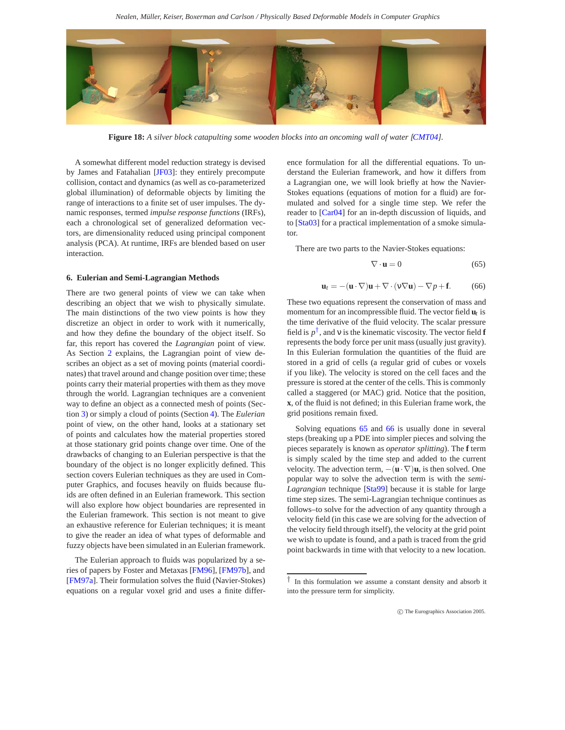<span id="page-17-4"></span>

**Figure 18:** *A silver block catapulting some wooden blocks into an oncoming wall of water [\[CMT04\]](#page-21-40).*

<span id="page-17-3"></span>A somewhat different model reduction strategy is devised by James and Fatahalian [\[JF03\]](#page-21-41): they entirely precompute collision, contact and dynamics (as well as co-parameterized global illumination) of deformable objects by limiting the range of interactions to a finite set of user impulses. The dynamic responses, termed *impulse response functions* (IRFs), each a chronological set of generalized deformation vectors, are dimensionality reduced using principal component analysis (PCA). At runtime, IRFs are blended based on user interaction.

## **6. Eulerian and Semi-Lagrangian Methods**

There are two general points of view we can take when describing an object that we wish to physically simulate. The main distinctions of the two view points is how they discretize an object in order to work with it numerically, and how they define the boundary of the object itself. So far, this report has covered the *Lagrangian* point of view. As Section [2](#page-1-2) explains, the Lagrangian point of view describes an object as a set of moving points (material coordinates) that travel around and change position over time; these points carry their material properties with them as they move through the world. Lagrangian techniques are a convenient way to define an object as a connected mesh of points (Section [3\)](#page-2-3) or simply a cloud of points (Section [4\)](#page-9-2). The *Eulerian* point of view, on the other hand, looks at a stationary set of points and calculates how the material properties stored at those stationary grid points change over time. One of the drawbacks of changing to an Eulerian perspective is that the boundary of the object is no longer explicitly defined. This section covers Eulerian techniques as they are used in Computer Graphics, and focuses heavily on fluids because fluids are often defined in an Eulerian framework. This section will also explore how object boundaries are represented in the Eulerian framework. This section is not meant to give an exhaustive reference for Eulerian techniques; it is meant to give the reader an idea of what types of deformable and fuzzy objects have been simulated in an Eulerian framework.

The Eulerian approach to fluids was popularized by a series of papers by Foster and Metaxas [\[FM96\]](#page-21-42), [\[FM97b\]](#page-21-43), and [\[FM97a\]](#page-21-44). Their formulation solves the fluid (Navier-Stokes) equations on a regular voxel grid and uses a finite differ-

ence formulation for all the differential equations. To understand the Eulerian framework, and how it differs from a Lagrangian one, we will look briefly at how the Navier-Stokes equations (equations of motion for a fluid) are formulated and solved for a single time step. We refer the reader to [\[Car04\]](#page-20-25) for an in-depth discussion of liquids, and to [\[Sta03\]](#page-23-45) for a practical implementation of a smoke simulator.

<span id="page-17-1"></span>There are two parts to the Navier-Stokes equations:

$$
\nabla \cdot \mathbf{u} = 0 \tag{65}
$$

$$
\mathbf{u}_t = -(\mathbf{u} \cdot \nabla)\mathbf{u} + \nabla \cdot (\mathbf{v} \nabla \mathbf{u}) - \nabla p + \mathbf{f}.
$$
 (66)

<span id="page-17-2"></span>These two equations represent the conservation of mass and momentum for an incompressible fluid. The vector field **u***t* is the time derivative of the fluid velocity. The scalar pressure field is  $p^{\dagger}$ , and v is the kinematic viscosity. The vector field **f** represents the body force per unit mass (usually just gravity). In this Eulerian formulation the quantities of the fluid are stored in a grid of cells (a regular grid of cubes or voxels if you like). The velocity is stored on the cell faces and the pressure is stored at the center of the cells. This is commonly called a staggered (or MAC) grid. Notice that the position, **x**, of the fluid is not defined; in this Eulerian frame work, the grid positions remain fixed.

Solving equations [65](#page-17-1) and [66](#page-17-2) is usually done in several steps (breaking up a PDE into simpler pieces and solving the pieces separately is known as *operator splitting*). The **f** term is simply scaled by the time step and added to the current velocity. The advection term,  $-(\mathbf{u} \cdot \nabla)\mathbf{u}$ , is then solved. One popular way to solve the advection term is with the *semi-Lagrangian* technique [\[Sta99\]](#page-23-46) because it is stable for large time step sizes. The semi-Lagrangian technique continues as follows–to solve for the advection of any quantity through a velocity field (in this case we are solving for the advection of the velocity field through itself), the velocity at the grid point we wish to update is found, and a path is traced from the grid point backwards in time with that velocity to a new location.

<span id="page-17-0"></span>*<sup>†</sup>* In this formulation we assume a constant density and absorb it into the pressure term for simplicity.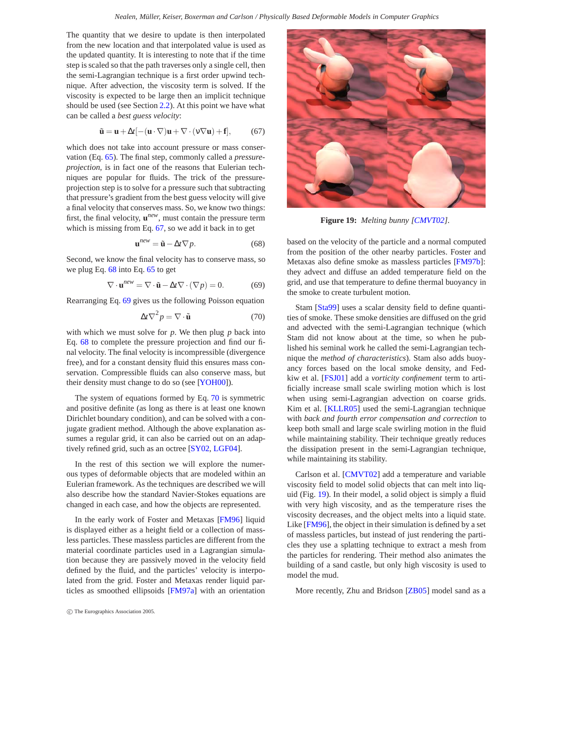<span id="page-18-5"></span>The quantity that we desire to update is then interpolated from the new location and that interpolated value is used as the updated quantity. It is interesting to note that if the time step is scaled so that the path traverses only a single cell, then the semi-Lagrangian technique is a first order upwind technique. After advection, the viscosity term is solved. If the viscosity is expected to be large then an implicit technique should be used (see Section [2.2\)](#page-2-0). At this point we have what can be called a *best guess velocity*:

$$
\tilde{\mathbf{u}} = \mathbf{u} + \Delta t [-(\mathbf{u} \cdot \nabla)\mathbf{u} + \nabla \cdot (\mathbf{v} \nabla \mathbf{u}) + \mathbf{f}], \tag{67}
$$

<span id="page-18-0"></span>which does not take into account pressure or mass conservation (Eq. [65\)](#page-17-1). The final step, commonly called a *pressureprojection*, is in fact one of the reasons that Eulerian techniques are popular for fluids. The trick of the pressureprojection step is to solve for a pressure such that subtracting that pressure's gradient from the best guess velocity will give a final velocity that conserves mass. So, we know two things: first, the final velocity, **u***new*, must contain the pressure term which is missing from Eq. [67,](#page-18-0) so we add it back in to get

$$
\mathbf{u}^{new} = \tilde{\mathbf{u}} - \Delta t \nabla p. \tag{68}
$$

<span id="page-18-1"></span>Second, we know the final velocity has to conserve mass, so we plug Eq. [68](#page-18-1) into Eq. [65](#page-17-1) to get

$$
\nabla \cdot \mathbf{u}^{new} = \nabla \cdot \tilde{\mathbf{u}} - \Delta t \nabla \cdot (\nabla p) = 0.
$$
 (69)

<span id="page-18-3"></span><span id="page-18-2"></span>Rearranging Eq. [69](#page-18-2) gives us the following Poisson equation

$$
\Delta t \nabla^2 p = \nabla \cdot \tilde{\mathbf{u}} \tag{70}
$$

with which we must solve for *p*. We then plug *p* back into Eq. [68](#page-18-1) to complete the pressure projection and find our final velocity. The final velocity is incompressible (divergence free), and for a constant density fluid this ensures mass conservation. Compressible fluids can also conserve mass, but their density must change to do so (see [\[YOH00\]](#page-23-47)).

The system of equations formed by Eq. [70](#page-18-3) is symmetric and positive definite (as long as there is at least one known Dirichlet boundary condition), and can be solved with a conjugate gradient method. Although the above explanation assumes a regular grid, it can also be carried out on an adaptively refined grid, such as an octree [\[SY02,](#page-23-48) [LGF04\]](#page-22-47).

In the rest of this section we will explore the numerous types of deformable objects that are modeled within an Eulerian framework. As the techniques are described we will also describe how the standard Navier-Stokes equations are changed in each case, and how the objects are represented.

In the early work of Foster and Metaxas [\[FM96\]](#page-21-42) liquid is displayed either as a height field or a collection of massless particles. These massless particles are different from the material coordinate particles used in a Lagrangian simulation because they are passively moved in the velocity field defined by the fluid, and the particles' velocity is interpolated from the grid. Foster and Metaxas render liquid particles as smoothed ellipsoids [\[FM97a\]](#page-21-44) with an orientation



**Figure 19:** *Melting bunny [\[CMVT02\]](#page-21-45).*

<span id="page-18-4"></span>based on the velocity of the particle and a normal computed from the position of the other nearby particles. Foster and Metaxas also define smoke as massless particles [\[FM97b\]](#page-21-43): they advect and diffuse an added temperature field on the grid, and use that temperature to define thermal buoyancy in the smoke to create turbulent motion.

Stam [\[Sta99\]](#page-23-46) uses a scalar density field to define quantities of smoke. These smoke densities are diffused on the grid and advected with the semi-Lagrangian technique (which Stam did not know about at the time, so when he published his seminal work he called the semi-Lagrangian technique the *method of characteristics*). Stam also adds buoyancy forces based on the local smoke density, and Fedkiw et al. [\[FSJ01\]](#page-21-46) add a *vorticity confinement* term to artificially increase small scale swirling motion which is lost when using semi-Lagrangian advection on coarse grids. Kim et al. [\[KLLR05\]](#page-22-48) used the semi-Lagrangian technique with *back and fourth error compensation and correction* to keep both small and large scale swirling motion in the fluid while maintaining stability. Their technique greatly reduces the dissipation present in the semi-Lagrangian technique, while maintaining its stability.

Carlson et al. [\[CMVT02\]](#page-21-45) add a temperature and variable viscosity field to model solid objects that can melt into liquid (Fig. [19\)](#page-18-4). In their model, a solid object is simply a fluid with very high viscosity, and as the temperature rises the viscosity decreases, and the object melts into a liquid state. Like [\[FM96\]](#page-21-42), the object in their simulation is defined by a set of massless particles, but instead of just rendering the particles they use a splatting technique to extract a mesh from the particles for rendering. Their method also animates the building of a sand castle, but only high viscosity is used to model the mud.

More recently, Zhu and Bridson [\[ZB05\]](#page-23-49) model sand as a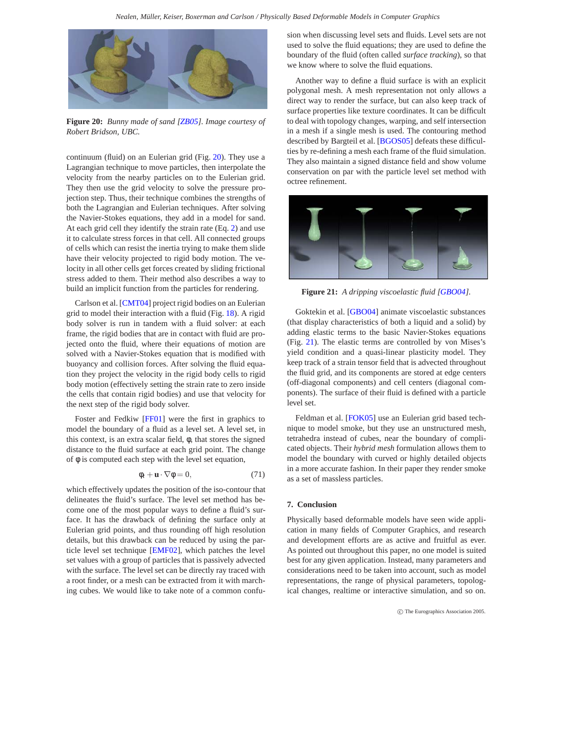<span id="page-19-2"></span>

**Figure 20:** *Bunny made of sand [\[ZB05\]](#page-23-49). Image courtesy of Robert Bridson, UBC.*

<span id="page-19-0"></span>continuum (fluid) on an Eulerian grid (Fig. [20\)](#page-19-0). They use a Lagrangian technique to move particles, then interpolate the velocity from the nearby particles on to the Eulerian grid. They then use the grid velocity to solve the pressure projection step. Thus, their technique combines the strengths of both the Lagrangian and Eulerian techniques. After solving the Navier-Stokes equations, they add in a model for sand. At each grid cell they identify the strain rate (Eq. [2\)](#page-1-1) and use it to calculate stress forces in that cell. All connected groups of cells which can resist the inertia trying to make them slide have their velocity projected to rigid body motion. The velocity in all other cells get forces created by sliding frictional stress added to them. Their method also describes a way to build an implicit function from the particles for rendering.

Carlson et al. [\[CMT04\]](#page-21-40) project rigid bodies on an Eulerian grid to model their interaction with a fluid (Fig. [18\)](#page-17-3). A rigid body solver is run in tandem with a fluid solver: at each frame, the rigid bodies that are in contact with fluid are projected onto the fluid, where their equations of motion are solved with a Navier-Stokes equation that is modified with buoyancy and collision forces. After solving the fluid equation they project the velocity in the rigid body cells to rigid body motion (effectively setting the strain rate to zero inside the cells that contain rigid bodies) and use that velocity for the next step of the rigid body solver.

Foster and Fedkiw [\[FF01\]](#page-21-47) were the first in graphics to model the boundary of a fluid as a level set. A level set, in this context, is an extra scalar field, φ, that stores the signed distance to the fluid surface at each grid point. The change of  $\phi$  is computed each step with the level set equation,

$$
\phi_t + \mathbf{u} \cdot \nabla \phi = 0,\tag{71}
$$

which effectively updates the position of the iso-contour that delineates the fluid's surface. The level set method has become one of the most popular ways to define a fluid's surface. It has the drawback of defining the surface only at Eulerian grid points, and thus rounding off high resolution details, but this drawback can be reduced by using the particle level set technique [\[EMF02\]](#page-21-48), which patches the level set values with a group of particles that is passively advected with the surface. The level set can be directly ray traced with a root finder, or a mesh can be extracted from it with marching cubes. We would like to take note of a common confusion when discussing level sets and fluids. Level sets are not used to solve the fluid equations; they are used to define the boundary of the fluid (often called *surface tracking*), so that we know where to solve the fluid equations.

Another way to define a fluid surface is with an explicit polygonal mesh. A mesh representation not only allows a direct way to render the surface, but can also keep track of surface properties like texture coordinates. It can be difficult to deal with topology changes, warping, and self intersection in a mesh if a single mesh is used. The contouring method described by Bargteil et al. [\[BGOS05\]](#page-20-26) defeats these difficulties by re-defining a mesh each frame of the fluid simulation. They also maintain a signed distance field and show volume conservation on par with the particle level set method with octree refinement.



**Figure 21:** *A dripping viscoelastic fluid [\[GBO04\]](#page-21-36).*

<span id="page-19-1"></span>Goktekin et al. [\[GBO04\]](#page-21-36) animate viscoelastic substances (that display characteristics of both a liquid and a solid) by adding elastic terms to the basic Navier-Stokes equations (Fig. [21\)](#page-19-1). The elastic terms are controlled by von Mises's yield condition and a quasi-linear plasticity model. They keep track of a strain tensor field that is advected throughout the fluid grid, and its components are stored at edge centers (off-diagonal components) and cell centers (diagonal components). The surface of their fluid is defined with a particle level set.

Feldman et al. [\[FOK05\]](#page-21-49) use an Eulerian grid based technique to model smoke, but they use an unstructured mesh, tetrahedra instead of cubes, near the boundary of complicated objects. Their *hybrid mesh* formulation allows them to model the boundary with curved or highly detailed objects in a more accurate fashion. In their paper they render smoke as a set of massless particles.

### **7. Conclusion**

Physically based deformable models have seen wide application in many fields of Computer Graphics, and research and development efforts are as active and fruitful as ever. As pointed out throughout this paper, no one model is suited best for any given application. Instead, many parameters and considerations need to be taken into account, such as model representations, the range of physical parameters, topological changes, realtime or interactive simulation, and so on.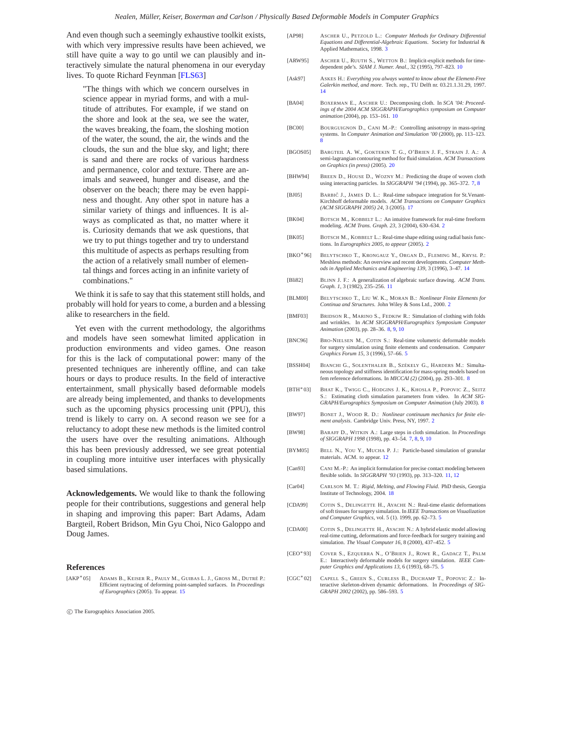<span id="page-20-27"></span>And even though such a seemingly exhaustive toolkit exists, with which very impressive results have been achieved, we still have quite a way to go until we can plausibly and interactively simulate the natural phenomena in our everyday lives. To quote Richard Feynman [\[FLS63\]](#page-21-50)

"The things with which we concern ourselves in science appear in myriad forms, and with a multitude of attributes. For example, if we stand on the shore and look at the sea, we see the water, the waves breaking, the foam, the sloshing motion of the water, the sound, the air, the winds and the clouds, the sun and the blue sky, and light; there is sand and there are rocks of various hardness and permanence, color and texture. There are animals and seaweed, hunger and disease, and the observer on the beach; there may be even happiness and thought. Any other spot in nature has a similar variety of things and influences. It is always as complicated as that, no matter where it is. Curiosity demands that we ask questions, that we try to put things together and try to understand this multitude of aspects as perhaps resulting from the action of a relatively small number of elemental things and forces acting in an infinite variety of combinations."

We think it is safe to say that this statement still holds, and probably will hold for years to come, a burden and a blessing alike to researchers in the field.

Yet even with the current methodology, the algorithms and models have seen somewhat limited application in production environments and video games. One reason for this is the lack of computational power: many of the presented techniques are inherently offline, and can take hours or days to produce results. In the field of interactive entertainment, small physically based deformable models are already being implemented, and thanks to developments such as the upcoming physics processing unit (PPU), this trend is likely to carry on. A second reason we see for a reluctancy to adopt these new methods is the limited control the users have over the resulting animations. Although this has been previously addressed, we see great potential in coupling more intuitive user interfaces with physically based simulations.

**Acknowledgements.** We would like to thank the following people for their contributions, suggestions and general help in shaping and improving this paper: Bart Adams, Adam Bargteil, Robert Bridson, Min Gyu Choi, Nico Galoppo and Doug James.

## **References**

<span id="page-20-23"></span>[AKP∗05] ADAMS B., KEISER R., PAULY M., GUIBAS L. J., GROSS M., DUTRÉ P.: Efficient raytracing of deforming point-sampled surfaces. In *Proceedings of Eurographics* (2005). To appear. [15](#page-14-2)

- <span id="page-20-4"></span>[AP98] ASCHER U., PETZOLD L.: *Computer Methods for Ordinary Differential Equations and Differential-Algebraic Equations*. Society for Industrial & Applied Mathematics, 1998.
- <span id="page-20-17"></span>[ARW95] ASCHER U., RUUTH S., WETTON B.: Implicit-explicit methods for timedependent pde's. *SIAM J. Numer. Anal.*, 32 (1995), 797–823. [10](#page-9-3)
- <span id="page-20-22"></span>[Ask97] ASKES H.: *Everything you always wanted to know about the Element-Free Galerkin method, and more*. Tech. rep., TU Delft nr. 03.21.1.31.29, 1997. [14](#page-13-1)
- <span id="page-20-16"></span>[BA04] BOXERMAN E., ASCHER U.: Decomposing cloth. In *SCA '04: Proceedings of the 2004 ACM SIGGRAPH/Eurographics symposium on Computer animation* (2004), pp. 153–161. [10](#page-9-3)
- <span id="page-20-12"></span>[BC00] BOURGUIGNON D., CANI M.-P.: Controlling anisotropy in mass-spring systems. In *Computer Animation and Simulation '00* (2000), pp. 113–123. [8](#page-7-0)
- <span id="page-20-26"></span>[BGOS05] BARGTEIL A. W., GOKTEKIN T. G., O'BRIEN J. F., STRAIN J. A.: A semi-lagrangian contouring method for fluid simulation. *ACM Transactions on Graphics (in press)* (2005). [20](#page-19-2)
- <span id="page-20-10"></span>[BHW94] BREEN D., HOUSE D., WOZNY M.: Predicting the drape of woven cloth using interacting particles. In *SIGGRAPH '94* (1994), pp. 365–372. [7,](#page-6-3) [8](#page-7-0)
- <span id="page-20-24"></span>[BJ05] BARBIC J., JAMES D. L.: Real-time subspace integration for St.Venant-Kirchhoff deformable models. *ACM Transactions on Computer Graphics (ACM SIGGRAPH 2005) 24*, 3 (2005). [17](#page-16-3)
- <span id="page-20-1"></span>[BK04] BOTSCH M., KOBBELT L.: An intuitive framework for real-time freeform modeling. *ACM Trans. Graph. 23*, 3 (2004), 630–634. [2](#page-1-3)
- <span id="page-20-0"></span>[BK05] BOTSCH M., KOBBELT L.: Real-time shape editing using radial basis functions. In *Eurographics 2005, to appear* (2005). [2](#page-1-3)
- <span id="page-20-21"></span>[BKO∗96] BELYTSCHKO T., KRONGAUZ Y., ORGAN D., FLEMING M., KRYSL P.: Meshless methods: An overview and recent developments. *Computer Methods in Applied Mechanics and Engineering 139*, 3 (1996), 3–47. [14](#page-13-1)
- <span id="page-20-18"></span>[Bli82] BLINN J. F.: A generalization of algebraic surface drawing. *ACM Trans. Graph. 1*, 3 (1982), 235–256. [11](#page-10-0)
- <span id="page-20-3"></span>[BLM00] BELYTSCHKO T., LIU W. K., MORAN B.: *Nonlinear Finite Elements for Continua and Structures*. John Wiley & Sons Ltd., 2000. [2](#page-1-3)
- <span id="page-20-13"></span>[BMF03] BRIDSON R., MARINO S., FEDKIW R.: Simulation of clothing with folds and wrinkles. In *ACM SIGGRAPH/Eurographics Symposium Computer Animation* (2003), pp. 28–36. [8,](#page-7-0) [9,](#page-8-3) [10](#page-9-3)
- <span id="page-20-5"></span>[BNC96] BRO-NIELSEN M., COTIN S.: Real-time volumetric deformable models for surgery simulation using finite elements and condensation. *Computer Graphics Forum 15*, 3 (1996), 57–66. [5](#page-4-1)
- <span id="page-20-15"></span>[BSSH04] BIANCHI G., SOLENTHALER B., SZÉKELY G., HARDERS M.: Simultaneous topology and stiffness identification for mass-spring models based on fem reference deformations. In *MICCAI (2)* (2004), pp. 293–301. [8](#page-7-0)
- <span id="page-20-14"></span>[BTH<sup>\*</sup>03] BHAT K., TWIGG C., HODGINS J. K., KHOSLA P., POPOVIC Z., SEITZ S.: Estimating cloth simulation parameters from video. In *ACM SIG-GRAPH/Eurographics Symposium on Computer Animation* (July 2003). [8](#page-7-0)
- <span id="page-20-2"></span>[BW97] BONET J., WOOD R. D.: *Nonlinear continuum mechanics for finite element analysis*. Cambridge Univ. Press, NY, 1997. [2](#page-1-3)
- <span id="page-20-11"></span>[BW98] BARAFF D., WITKIN A.: Large steps in cloth simulation. In *Proceedings of SIGGRAPH 1998* (1998), pp. 43–54. [7,](#page-6-3) [8,](#page-7-0) [9,](#page-8-3) [10](#page-9-3)
- <span id="page-20-20"></span>[BYM05] BELL N., YOU Y., MUCHA P. J.: Particle-based simulation of granular materials. ACM. to appear. [12](#page-11-3)
- [Can93] CANI M.-P.: An implicit formulation for precise contact modeling between flexible solids. In *SIGGRAPH '93* (1993), pp. 313–320. [11,](#page-10-0) [12](#page-11-3)
- <span id="page-20-25"></span><span id="page-20-19"></span>[Car04] CARLSON M. T.: *Rigid, Melting, and Flowing Fluid*. PhD thesis, Georgia Institute of Technology, 2004. [18](#page-17-4)
- <span id="page-20-7"></span>[CDA99] COTIN S., DELINGETTE H., AYACHE N.: Real-time elastic deformations of soft tissues for surgery simulation. In *IEEE Transactions on Visualization and Computer Graphics*, vol. 5 (1). 1999, pp. 62–73. [5](#page-4-1)
- <span id="page-20-8"></span>[CDA00] COTIN S., DELINGETTE H., AYACHE N.: A hybrid elastic model allowing real-time cutting, deformations and force-feedback for surgery training and simulation. *The Visual Computer 16*, 8 (2000), 437–452. [5](#page-4-1)
- <span id="page-20-6"></span>[CEO∗93] COVER S., EZQUERRA N., O'BRIEN J., ROWE R., GADACZ T., PALM E.: Interactively deformable models for surgery simulation. *IEEE Computer Graphics and Applications 13*, 6 (1993), 68–75. [5](#page-4-1)
- <span id="page-20-9"></span>[CGC∗02] CAPELL S., GREEN S., CURLESS B., DUCHAMP T., POPOVIC Z.: Interactive skeleton-driven dynamic deformations. In *Proceedings of SIG-GRAPH 2002* (2002), pp. 586–593. [5](#page-4-1)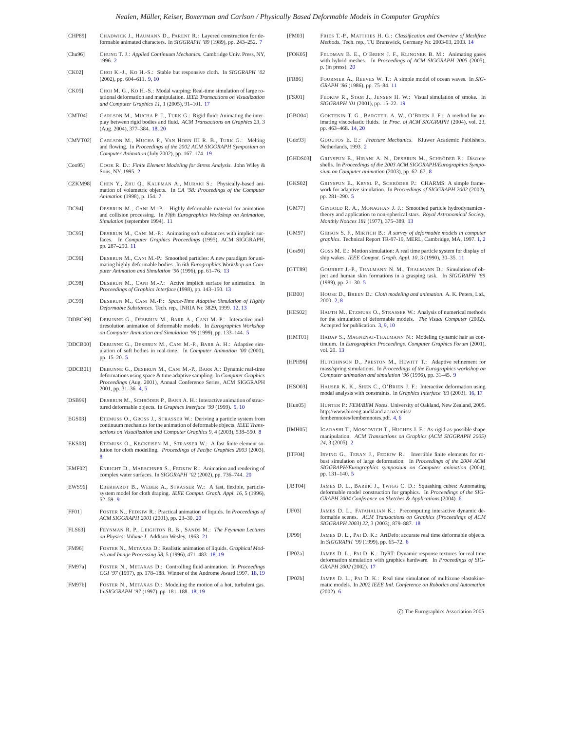#### *Nealen, Müller, Keiser, Boxerman and Carlson / Physically Based Deformable Models in Computer Graphics*

- <span id="page-21-19"></span>[CHP89] CHADWICK J., HAUMANN D., PARENT R.: Layered construction for de-formable animated characters. In *SIGGRAPH '89* (1989), pp. 243–252. [7](#page-6-3) [Chu96] CHUNG T. J.: *Applied Continuum Mechanics*. Cambridge Univ. Press, NY,
- <span id="page-21-25"></span><span id="page-21-2"></span>1996. [2](#page-1-3) [CK02] CHOI K.-J., KO H.-S.: Stable but responsive cloth. In *SIGGRAPH '02*
- <span id="page-21-39"></span>[CK05] CHOI M. G., KO H.-S.: Modal warping: Real-time simulation of large rotational deformation and manipulation. *IEEE Transactions on Visualization and Computer Graphics 11*, 1 (2005), 91–101. [17](#page-16-3)

(2002), pp. 604–611. [9,](#page-8-3) [10](#page-9-3)

- <span id="page-21-40"></span>[CMT04] CARLSON M., MUCHA P. J., TURK G.: Rigid fluid: Animating the interplay between rigid bodies and fluid. *ACM Transactions on Graphics 23*, 3 (Aug. 2004), 377–384. [18,](#page-17-4) [20](#page-19-2)
- <span id="page-21-45"></span>[CMVT02] CARLSON M., MUCHA P., VAN HORN III R. B., TURK G.: Melting and flowing. In *Proceedings of the 2002 ACM SIGGRAPH Symposium on Computer Animation* (July 2002), pp. 167–174. [19](#page-18-5)
- <span id="page-21-3"></span>[Coo95] COOK R. D.: *Finite Element Modeling for Stress Analysis*. John Wiley & Sons, NY, 1995. [2](#page-1-3)
- <span id="page-21-18"></span>[CZKM98] CHEN Y., ZHU Q., KAUFMAN A., MURAKI S.: Physically-based animation of volumetric objects. In *CA '98: Proceedings of the Computer Animation* (1998), p. 154. [7](#page-6-3)
- <span id="page-21-28"></span>[DC94] DESBRUN M., CANI M.-P.: Highly deformable material for animation and collision processing. In *Fifth Eurographics Workshop on Animation, Simulation* (septembre 1994). [11](#page-10-0)
- <span id="page-21-29"></span>[DC95] DESBRUN M., CANI M.-P.: Animating soft substances with implicit surfaces. In *Computer Graphics Proceedings* (1995), ACM SIGGRAPH, pp. 287–290. [11](#page-10-0)
- <span id="page-21-31"></span>[DC96] DESBRUN M., CANI M.-P.: Smoothed particles: A new paradigm for animating highly deformable bodies. In *6th Eurographics Workshop on Computer Animation and Simulation '96* (1996), pp. 61–76. [13](#page-12-2)
- <span id="page-21-32"></span>[DC98] DESBRUN M., CANI M.-P.: Active implicit surface for animation. In *Proceedings of Graphics Interface* (1998), pp. 143–150. [13](#page-12-2)
- <span id="page-21-30"></span>[DC99] DESBRUN M., CANI M.-P.: *Space-Time Adaptive Simulation of Highly Deformable Substances*. Tech. rep., INRIA Nr. 3829, 1999. [12,](#page-11-3) [13](#page-12-2)
- <span id="page-21-9"></span>[DDBC99] DEBUNNE G., DESBRUN M., BARR A., CANI M.-P.: Interactive mul-tiresolution animation of deformable models. In *Eurographics Workshop on Computer Animation and Simulation '99* (1999), pp. 133–144. [5](#page-4-1)
- <span id="page-21-10"></span>[DDCB00] DEBUNNE G., DESBRUN M., CANI M.-P., BARR A. H.: Adaptive simulation of soft bodies in real-time. In *Computer Animation '00* (2000), pp. 15–20. [5](#page-4-1)
- <span id="page-21-8"></span>[DDCB01] DEBUNNE G., DESBRUN M., CANI M.-P., BARR A.: Dynamic real-time deformations using space & time adaptive sampling. In *Computer Graphics Proceedings* (Aug. 2001), Annual Conference Series, ACM SIGGRAPH 2001, pp. 31–36. [4,](#page-3-6) [5](#page-4-1)
- <span id="page-21-11"></span>[DSB99] DESBRUN M., SCHRÖDER P., BARR A. H.: Interactive animation of struc-tured deformable objects. In *Graphics Interface '99* (1999). [5,](#page-4-1) [10](#page-9-3)
- <span id="page-21-21"></span>[EGS03] ETZMUSS O., GROSS J., STRASSER W.: Deriving a particle system from continuum mechanics for the animation of deformable objects. *IEEE Transactions on Visualization and Computer Graphics 9*, 4 (2003), 538–550. [8](#page-7-0)
- <span id="page-21-20"></span>[EKS03] ETZMUSS O., KECKEISEN M., STRASSER W.: A fast finite element solution for cloth modelling. *Proceedings of Pacific Graphics 2003* (2003). [8](#page-7-0)
- <span id="page-21-48"></span>[EMF02] ENRIGHT D., MARSCHNER S., FEDKIW R.: Animation and rendering of complex water surfaces. In *SIGGRAPH '02* (2002), pp. 736–744. [20](#page-19-2)
- <span id="page-21-24"></span>[EWS96] EBERHARDT B., WEBER A., STRASSER W.: A fast, flexible, particlesystem model for cloth draping. *IEEE Comput. Graph. Appl. 16*, 5 (1996), 52–59. [9](#page-8-3)
- <span id="page-21-47"></span>[FF01] FOSTER N., FEDKIW R.: Practical animation of liquids. In *Proceedings of ACM SIGGRAPH 2001* (2001), pp. 23–30. [20](#page-19-2)
- <span id="page-21-50"></span>[FLS63] FEYNMAN R. P., LEIGHTON R. B., SANDS M.: *The Feynman Lectures on Physics: Volume I*. Addison Wesley, 1963. [21](#page-20-27)
- <span id="page-21-42"></span>[FM96] FOSTER N., METAXAS D.: Realistic animation of liquids. *Graphical Models and Image Processing 58*, 5 (1996), 471–483. [18,](#page-17-4) [19](#page-18-5)
- <span id="page-21-44"></span>[FM97a] FOSTER N., METAXAS D.: Controlling fluid animation. In *Proceedings CGI '97* (1997), pp. 178–188. Winner of the Androme Award 1997. [18,](#page-17-4) [19](#page-18-5)
- <span id="page-21-43"></span>[FM97b] FOSTER N., METAXAS D.: Modeling the motion of a hot, turbulent gas. In *SIGGRAPH '97* (1997), pp. 181–188. [18,](#page-17-4) [19](#page-18-5)
- <span id="page-21-35"></span>[FM03] FRIES T.-P., MATTHIES H. G.: *Classification and Overview of Meshfree Methods*. Tech. rep., TU Brunswick, Germany Nr. 2003-03, 2003. [14](#page-13-1)
- <span id="page-21-49"></span>[FOK05] FELDMAN B. E., O'BRIEN J. F., KLINGNER B. M.: Animating gases with hybrid meshes. In *Proceedings of ACM SIGGRAPH 2005* (2005), p. (in press). [20](#page-19-2)
- <span id="page-21-26"></span>[FR86] FOURNIER A., REEVES W. T.: A simple model of ocean waves. In *SIG-GRAPH '86* (1986), pp. 75–84. [11](#page-10-0)
- <span id="page-21-46"></span>[FSJ01] FEDKIW R., STAM J., JENSEN H. W.: Visual simulation of smoke. In *SIGGRAPH '01* (2001), pp. 15–22. [19](#page-18-5)
- <span id="page-21-36"></span>[GBO04] GOKTEKIN T. G., BARGTEIL A. W., O'BRIEN J. F.: A method for animating viscoelastic fluids. In *Proc. of ACM SIGGRAPH* (2004), vol. 23, pp. 463–468. [14,](#page-13-1) [20](#page-19-2)
- <span id="page-21-4"></span>[Gdo93] GDOUTOS E. E.: *Fracture Mechanics*. Kluwer Academic Publishers, Netherlands, 1993. [2](#page-1-3)
- <span id="page-21-22"></span>[GHDS03] GRINSPUN E., HIRANI A. N., DESBRUN M., SCHRÖDER P.: Discrete shells. In *Proceedings of the 2003 ACM SIGGRAPH/Eurographics Symposium on Computer animation* (2003), pp. 62–67. [8](#page-7-0)
- <span id="page-21-13"></span>[GKS02] GRINSPUN E., KRYSL P., SCHRÖDER P.: CHARMS: A simple framework for adaptive simulation. In *Proceedings of SIGGRAPH 2002* (2002), pp. 281–290. [5](#page-4-1)
- <span id="page-21-33"></span>[GM77] GINGOLD R. A., MONAGHAN J. J.: Smoothed particle hydrodynamics theory and application to non-spherical stars. *Royal Astronomical Society, Monthly Notices 181* (1977), 375–389. [13](#page-12-2)
- <span id="page-21-0"></span>[GM97] GIBSON S. F., MIRTICH B.: *A survey of deformable models in computer graphics*. Technical Report TR-97-19, MERL, Cambridge, MA, 1997. [1,](#page-0-1) [2](#page-1-3)
- <span id="page-21-27"></span>[Gos90] GOSS M. E.: Motion simulation: A real time particle system for display of ship wakes. *IEEE Comput. Graph. Appl. 10*, 3 (1990), 30–35. [11](#page-10-0)
- <span id="page-21-12"></span>[GTT89] GOURRET J.-P., THALMANN N. M., THALMANN D.: Simulation of object and human skin formations in a grasping task. In *SIGGRAPH '89* (1989), pp. 21–30. [5](#page-4-1)
- <span id="page-21-5"></span>[HB00] HOUSE D., BREEN D.: *Cloth modeling and animation*. A. K. Peters, Ltd., 2000. [2,](#page-1-3) [8](#page-7-0)
- <span id="page-21-6"></span>[HES02] HAUTH M., ETZMUSS O., STRASSER W.: Analysis of numerical methods for the simulation of deformable models. *The Visual Computer* (2002). Accepted for publication. [3,](#page-2-4) [9,](#page-8-3) [10](#page-9-3)
- <span id="page-21-34"></span>[HMT01] HADAP S., MAGNENAT-THALMANN N.: Modeling dynamic hair as continuum. In *Eurographics Proceedings. Computer Graphics Forum* (2001), vol. 20. [13](#page-12-2)
- <span id="page-21-23"></span>[HPH96] HUTCHINSON D., PRESTON M., HEWITT T.: Adaptive refinement for mass/spring simulations. In *Proceedings of the Eurographics workshop on Computer animation and simulation '96* (1996), pp. 31–45. [9](#page-8-3)
- <span id="page-21-37"></span>[HSO03] HAUSER K. K., SHEN C., O'BRIEN J. F.: Interactive deformation using modal analysis with constraints. In *Graphics Interface '03* (2003). [16,](#page-15-10) [17](#page-16-3)
- <span id="page-21-7"></span>[Hun05] HUNTER P.: *FEM/BEM Notes*. University of Oakland, New Zealand, 2005. http://www.bioeng.auckland.ac.nz/cmiss/ fembemnotes/fembemnotes.pdf. [4,](#page-3-6) [6](#page-5-1)
- <span id="page-21-1"></span>[IMH05] IGARASHI T., MOSCOVICH T., HUGHES J. F.: As-rigid-as-possible shape manipulation. *ACM Transactions on Graphics (ACM SIGGRAPH 2005) 24*, 3 (2005). [2](#page-1-3)
- <span id="page-21-14"></span>[ITF04] IRVING G., TERAN J., FEDKIW R.: Invertible finite elements for robust simulation of large deformation. In *Proceedings of the 2004 ACM SIGGRAPH/Eurographics symposium on Computer animation* (2004), pp. 131–140. [5](#page-4-1)
- <span id="page-21-15"></span>[JBT04] JAMES D. L., BARBIČ J., TWIGG C. D.: Squashing cubes: Automating deformable model construction for graphics. In *Proceedings of the SIG-GRAPH 2004 Conference on Sketches & Applications* (2004). [6](#page-5-1)
- <span id="page-21-41"></span>[JF03] JAMES D. L., FATAHALIAN K.: Precomputing interactive dynamic deformable scenes. *ACM Transactions on Graphics (Proceedings of ACM SIGGRAPH 2003) 22*, 3 (2003), 879–887. [18](#page-17-4)
- <span id="page-21-16"></span>[JP99] JAMES D. L., PAI D. K.: ArtDefo: accurate real time deformable objects. In *SIGGRAPH '99* (1999), pp. 65–72. [6](#page-5-1)
- <span id="page-21-38"></span>[JP02a] JAMES D. L., PAI D. K.: DyRT: Dynamic response textures for real time deformation simulation with graphics hardware. In *Proceedings of SIG-GRAPH 2002* (2002). [17](#page-16-3)
- <span id="page-21-17"></span>[JP02b] JAMES D. L., PAI D. K.: Real time simulation of multizone elastokinematic models. In *2002 IEEE Intl. Conference on Robotics and Automation*  $(2002)$ . [6](#page-5-1)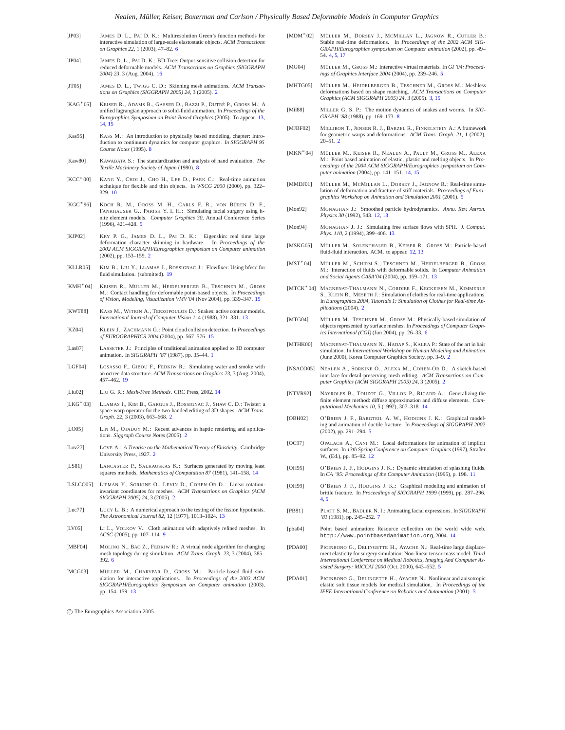- <span id="page-22-22"></span>[JP03] JAMES D. L., PAI D. K.: Multiresolution Green's function methods for interactive simulation of large-scale elastostatic objects. *ACM Transactions on Graphics 22*, 1 (2003), 47–82. [6](#page-5-1)
- <span id="page-22-46"></span>[JP04] JAMES D. L., PAI D. K.: BD-Tree: Output-sensitive collision detection for reduced deformable models. *ACM Transactions on Graphics (SIGGRAPH 2004) 23*, 3 (Aug. 2004). [16](#page-15-10)
- <span id="page-22-6"></span>[JT05] JAMES D. L., TWIGG C. D.: Skinning mesh animations. *ACM Transactions on Graphics (SIGGRAPH 2005) 24*, 3 (2005). [2](#page-1-3)
- <span id="page-22-33"></span>[KAG∗05] KEISER R., ADAMS B., GASSER D., BAZZI P., DUTRÉ P., GROSS M.: A unified lagrangian approach to solid-fluid animation. In *Proceedings of the Eurographics Symposium on Point-Based Graphics* (2005). To appear. [13,](#page-12-2) [14,](#page-13-1) [15](#page-14-2)
- <span id="page-22-26"></span>[Kas95] KASS M.: An introduction to physically based modeling, chapter: Introduction to continuum dynamics for computer graphics. *In SIGGRAPH 95 Course Notes* (1995). [8](#page-7-0)
- <span id="page-22-25"></span>[Kaw80] KAWABATA S.: The standardization and analysis of hand evaluation. *The Textile Machinery Society of Japan* (1980). [8](#page-7-0)
- <span id="page-22-28"></span>[KCC∗00] KANG Y., CHOI J., CHO H., LEE D., PARK C.: Real-time animation technique for flexible and thin objects. In *WSCG 2000* (2000), pp. 322– 329. [10](#page-9-3)
- <span id="page-22-16"></span>[KGC∗96] KOCH R. M., GROSS M. H., CARLS F. R., VON BÜREN D. F., FANKHAUSER G., PARISH Y. I. H.: Simulating facial surgery using finite element models. *Computer Graphics 30*, Annual Conference Series (1996), 421–428. [5](#page-4-1)
- <span id="page-22-5"></span>[KJP02] KRY P. G., JAMES D. L., PAI D. K.: Eigenskin: real time large deformation character skinning in hardware. In *Proceedings of the 2002 ACM SIGGRAPH/Eurographics symposium on Computer animation* (2002), pp. 153–159. [2](#page-1-3)
- <span id="page-22-48"></span>[KLLR05] KIM B., LIU Y., LLAMAS I., ROSSIGNAC J.: Flowfixer: Using bfecc for fluid simulation. (submitted). [19](#page-18-5)
- <span id="page-22-45"></span>[KMH∗04] KEISER R., MÜLLER M., HEIDELBERGER B., TESCHNER M., GROSS M.: Contact handling for deformable point-based objects. In *Proceedings of Vision, Modeling, Visualization VMV'04* (Nov 2004), pp. 339–347. [15](#page-14-2)
- <span id="page-22-34"></span>[KWT88] KASS M., WITKIN A., TERZOPOULOS D.: Snakes: active contour models. *International Journal of Computer Vision 1*, 4 (1988), 321–331. [13](#page-12-2)
- <span id="page-22-44"></span>[KZ04] KLEIN J., ZACHMANN G.: Point cloud collision detection. In *Proceedings of EUROGRAPHICS 2004* (2004), pp. 567–576. [15](#page-14-2)
- <span id="page-22-0"></span>[Las87] LASSETER J.: Principles of traditional animation applied to 3D computer animation. In *SIGGRAPH '87* (1987), pp. 35–44. [1](#page-0-1)
- <span id="page-22-47"></span>[LGF04] LOSASSO F., GIBOU F., FEDKIW R.: Simulating water and smoke with an octree data structure. *ACM Transactions on Graphics 23*, 3 (Aug. 2004), 457–462. [19](#page-18-5)
- <span id="page-22-40"></span>[Liu02] LIU G. R.: *Mesh-Free Methods*. CRC Press, 2002. [14](#page-13-1)
- <span id="page-22-2"></span>[LKG∗03] LLAMAS I., KIM B., GARGUS J., ROSSIGNAC J., SHAW C. D.: Twister: a space-warp operator for the two-handed editing of 3D shapes. *ACM Trans. Graph. 22*, 3 (2003), 663–668. [2](#page-1-3)
- <span id="page-22-10"></span>[LO05] LIN M., OTADUY M.: Recent advances in haptic rendering and applications. *Siggraph Course Notes* (2005). [2](#page-1-3)
- <span id="page-22-7"></span>[Lov27] LOVE A.: *A Treatise on the Mathematical Theory of Elasticity*. Cambridge University Press, 1927. [2](#page-1-3)
- <span id="page-22-43"></span>[LS81] LANCASTER P., SALKAUSKAS K.: Surfaces generated by moving least squares methods. *Mathematics of Computation 87* (1981), 141–158. [14](#page-13-1)
- <span id="page-22-3"></span>[LSLCO05] LIPMAN Y., SORKINE O., LEVIN D., COHEN-OR D.: Linear rotationinvariant coordinates for meshes. *ACM Transactions on Graphics (ACM SIGGRAPH 2005) 24*, 3 (2005). [2](#page-1-3)
- <span id="page-22-35"></span>[Luc77] LUCY L. B.: A numerical approach to the testing of the fission hypothesis. *The Astronomical Journal 82*, 12 (1977), 1013–1024. [13](#page-12-2)
- <span id="page-22-27"></span>[LV05] LI L., VOLKOV V.: Cloth animation with adaptively refined meshes. In *ACSC* (2005), pp. 107–114. [9](#page-8-3)
- <span id="page-22-21"></span>[MBF04] MOLINO N., BAO Z., FEDKIW R.: A virtual node algorithm for changing mesh topology during simulation. *ACM Trans. Graph. 23*, 3 (2004), 385– 392. [6](#page-5-1)
- <span id="page-22-36"></span>[MCG03] MÜLLER M., CHARYPAR D., GROSS M.: Particle-based fluid simulation for interactive applications. In *Proceedings of the 2003 ACM SIGGRAPH/Eurographics Symposium on Computer animation* (2003), pp. 154–159. [13](#page-12-2)

- <span id="page-22-13"></span>[MDM∗02] MÜLLER M., DORSEY J., MCMILLAN L., JAGNOW R., CUTLER B.: Stable real-time deformations. In *Proceedings of the 2002 ACM SIG-GRAPH/Eurographics symposium on Computer animation* (2002), pp. 49– 54. [4,](#page-3-6) [5,](#page-4-1) [17](#page-16-3)
- <span id="page-22-19"></span>[MG04] MÜLLER M., GROSS M.: Interactive virtual materials. In *GI '04: Proceed-ings of Graphics Interface 2004* (2004), pp. 239–246. [5](#page-4-1)
- <span id="page-22-11"></span>[MHTG05] MÜLLER M., HEIDELBERGER B., TESCHNER M., GROSS M.: Meshless deformations based on shape matching. *ACM Transactions on Computer Graphics (ACM SIGGRAPH 2005) 24*, 3 (2005). [3,](#page-2-4) [15](#page-14-2)
- <span id="page-22-24"></span>[Mil88] MILLER G. S. P.: The motion dynamics of snakes and worms. In *SIG-GRAPH '[8](#page-7-0)8* (1988), pp. 169-173.
- <span id="page-22-1"></span>[MJBF02] MILLIRON T., JENSEN R. J., BARZEL R., FINKELSTEIN A.: A framework for geometric warps and deformations. *ACM Trans. Graph. 21*, 1 (2002),  $20 - 51.2$  $20 - 51.2$
- <span id="page-22-42"></span>[MKN∗04] MÜLLER M., KEISER R., NEALEN A., PAULY M., GROSS M., ALEXA M.: Point based animation of elastic, plastic and melting objects. In *Proceedings of the 2004 ACM SIGGRAPH/Eurographics symposium on Computer animation* (2004), pp. 141–151. [14,](#page-13-1) [15](#page-14-2)
- <span id="page-22-15"></span>[MMDJ01] MÜLLER M., MCMILLAN L., DORSEY J., JAGNOW R.: Real-time simu-lation of deformation and fracture of stiff materials. *Proceedings of Eurographics Workshop on Animation and Simulation 2001* (2001). [5](#page-4-1)
- <span id="page-22-32"></span>[Mon92] MONAGHAN J.: Smoothed particle hydrodynamics. *Annu. Rev. Astron. Physics 30* (1992), 543. [12,](#page-11-3) [13](#page-12-2)
- <span id="page-22-38"></span>[Mon94] MONAGHAN J. J.: Simulating free surface flows with SPH. *J. Comput. Phys. 110*, 2 (1994), 399–406. [13](#page-12-2)
- <span id="page-22-31"></span>[MSKG05] MÜLLER M., SOLENTHALER B., KEISER R., GROSS M.: Particle-based fluid-fluid interaction. ACM. to appear. [12,](#page-11-3) [13](#page-12-2)
- <span id="page-22-37"></span>[MST∗04] MÜLLER M., SCHIRM S., TESCHNER M., HEIDELBERGER B., GROSS M.: Interaction of fluids with deformable solids. In *Computer Animation and Social Agents CASA'04* (2004), pp. 159–171. [13](#page-12-2)
- <span id="page-22-8"></span>[MTCK∗04] MAGNENAT-THALMANN N., CORDIER F., KECKEISEN M., KIMMERLE S., KLEIN R., MESETH J.: Simulation of clothes for real-time applications. In *Eurographics 2004, Tutorials 1: Simulation of Clothes for Real-time Applications* (2004). [2](#page-1-3)
- <span id="page-22-20"></span>[MTG04] MÜLLER M., TESCHNER M., GROSS M.: Physically-based simulation of objects represented by surface meshes. In *Proceedings of Computer Graphics International (CGI)* (Jun 2004), pp. 26–33. [6](#page-5-1)
- <span id="page-22-9"></span>[MTHK00] MAGNENAT-THALMANN N., HADAP S., KALRA P.: State of the art in hair simulation. In *International Workshop on Human Modeling and Animation* (June 2000), Korea Computer Graphics Society, pp. 3–9. [2](#page-1-3)
- <span id="page-22-4"></span>[NSACO05] NEALEN A., SORKINE O., ALEXA M., COHEN-OR D.: A sketch-based interface for detail-preserving mesh editing. *ACM Transactions on Com-puter Graphics (ACM SIGGRAPH 2005) 24*, 3 (2005). [2](#page-1-3)
- <span id="page-22-39"></span>[NTVR92] NAYROLES B., TOUZOT G., VILLON P., RICARD A.: Generalizing the finite element method: diffuse approximation and diffuse elements. *Com-putational Mechanics 10*, 5 (1992), 307–318. [14](#page-13-1)
- <span id="page-22-14"></span>[OBH02] O'BRIEN J. F., BARGTEIL A. W., HODGINS J. K.: Graphical modeling and animation of ductile fracture. In *Proceedings of SIGGRAPH 2002* (2002), pp. 291–294. [5](#page-4-1)
- <span id="page-22-30"></span>[OC97] OPALACH A., CANI M.: Local deformations for animation of implicit surfaces. In *13th Spring Conference on Computer Graphics* (1997), Straßer W., (Ed.), pp. 85–92. [12](#page-11-3)
- <span id="page-22-29"></span>[OH95] O'BRIEN J. F., HODGINS J. K.: Dynamic simulation of splashing fluids. In *CA '95: Proceedings of the Computer Animation* (1995), p. 198. [11](#page-10-0)
- <span id="page-22-12"></span>[OH99] O'BRIEN J. F., HODGINS J. K.: Graphical modeling and animation of brittle fracture. In *Proceedings of SIGGRAPH 1999* (1999), pp. 287–296. [4,](#page-3-6) [5](#page-4-1)
- <span id="page-22-23"></span>[PB81] PLATT S. M., BADLER N. I.: Animating facial expressions. In *SIGGRAPH '81* (1981), pp. 245–252. [7](#page-6-3)
- <span id="page-22-41"></span>[pba04] Point based animation: Resource collection on the world wide web. http://www.pointbasedanimation.org, 2004. [14](#page-13-1)
- <span id="page-22-17"></span>[PDA00] PICINBONO G., DELINGETTE H., AYACHE N.: Real-time large displacement elasticity for surgery simulation: Non-linear tensor-mass model. *Third International Conference on Medical Robotics, Imaging And Computer Assisted Surgery: MICCAI 2000* (Oct. 2000), 643–652. [5](#page-4-1)
- <span id="page-22-18"></span>[PDA01] PICINBONO G., DELINGETTE H., AYACHE N.: Nonlinear and anisotropic elastic soft tissue models for medical simulation. In *Proceedings of the IEEE International Conference on Robotics and Automation* (2001). [5](#page-4-1)